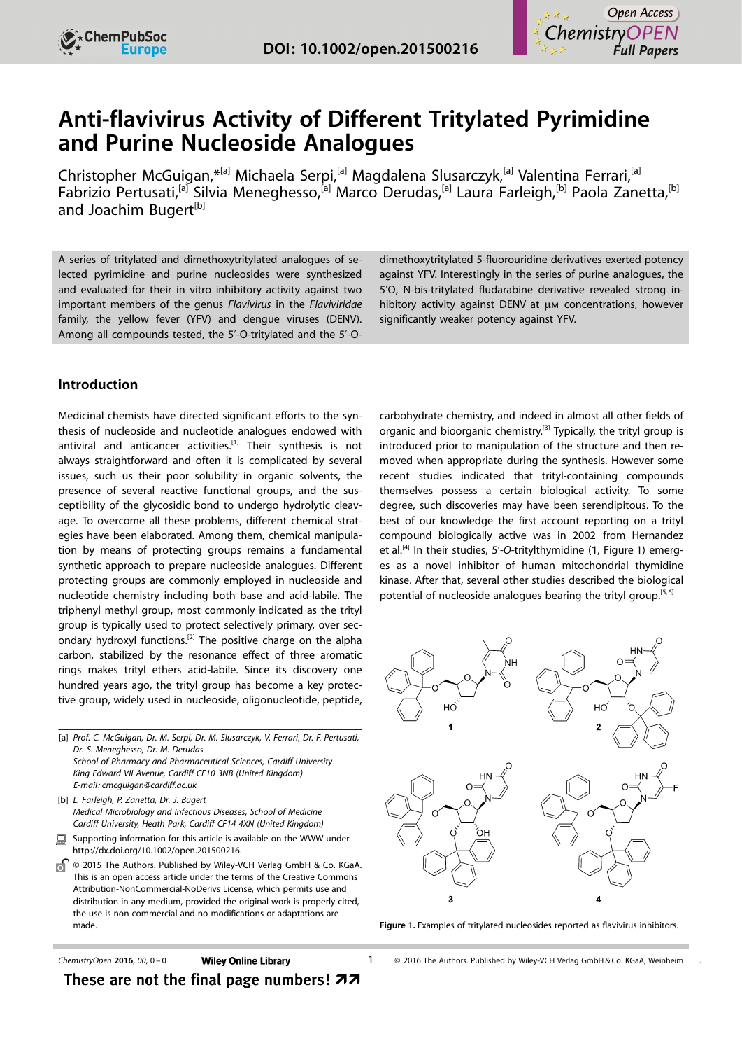

# Anti-flavivirus Activity of Different Tritylated Pyrimidine and Purine Nucleoside Analogues

Christopher McGuigan,<sup>\*[a]</sup> Michaela Serpi,<sup>[a]</sup> Magdalena Slusarczyk,<sup>[a]</sup> Valentina Ferrari,<sup>[a]</sup> Fabrizio Pertusati,<sup>[a]</sup> Silvia Meneghesso,<sup>[a]</sup> Marco Derudas,<sup>[a]</sup> Laura Farleigh,<sup>[b]</sup> Paola Zanetta,<sup>[b]</sup> and Joachim Bugert<sup>[b]</sup>

A series of tritylated and dimethoxytritylated analogues of selected pyrimidine and purine nucleosides were synthesized and evaluated for their in vitro inhibitory activity against two important members of the genus Flavivirus in the Flaviviridae family, the yellow fever (YFV) and dengue viruses (DENV). Among all compounds tested, the 5'-O-tritylated and the 5'-O-

### Introduction

Medicinal chemists have directed significant efforts to the synthesis of nucleoside and nucleotide analogues endowed with antiviral and anticancer activities.<sup>[1]</sup> Their synthesis is not always straightforward and often it is complicated by several issues, such us their poor solubility in organic solvents, the presence of several reactive functional groups, and the susceptibility of the glycosidic bond to undergo hydrolytic cleavage. To overcome all these problems, different chemical strategies have been elaborated. Among them, chemical manipulation by means of protecting groups remains a fundamental synthetic approach to prepare nucleoside analogues. Different protecting groups are commonly employed in nucleoside and nucleotide chemistry including both base and acid-labile. The triphenyl methyl group, most commonly indicated as the trityl group is typically used to protect selectively primary, over secondary hydroxyl functions.<sup>[2]</sup> The positive charge on the alpha carbon, stabilized by the resonance effect of three aromatic rings makes trityl ethers acid-labile. Since its discovery one hundred years ago, the trityl group has become a key protective group, widely used in nucleoside, oligonucleotide, peptide,

[a] Prof. C. McGuigan, Dr. M. Serpi, Dr. M. Slusarczyk, V. Ferrari, Dr. F. Pertusati, Dr. S. Meneghesso, Dr. M. Derudas School of Pharmacy and Pharmaceutical Sciences, Cardiff University King Edward VII Avenue, Cardiff CF10 3NB (United Kingdom) E-mail: cmcguigan@cardiff.ac.uk

[b] L. Farleigh, P. Zanetta, Dr. J. Bugert Medical Microbiology and Infectious Diseases, School of Medicine Cardiff University, Heath Park, Cardiff CF14 4XN (United Kingdom)

- Supporting information for this article is available on the WWW under 鳳 [http://dx.doi.org/10.1002/open.201500216.](http://dx.doi.org/10.1002/open.201500216)
- ď © 2015 The Authors. Published by Wiley-VCH Verlag GmbH & Co. KGaA. This is an open access article under the terms of the [Creative Commons](http://creativecommons.org/licenses/by-nc-nd/4.0/) [Attribution-NonCommercial-NoDerivs License](http://creativecommons.org/licenses/by-nc-nd/4.0/), which permits use and distribution in any medium, provided the original work is properly cited, the use is non-commercial and no modifications or adaptations are made.

dimethoxytritylated 5-fluorouridine derivatives exerted potency against YFV. Interestingly in the series of purine analogues, the 5'O, N-bis-tritylated fludarabine derivative revealed strong inhibitory activity against DENV at µm concentrations, however significantly weaker potency against YFV.

carbohydrate chemistry, and indeed in almost all other fields of organic and bioorganic chemistry.<sup>[3]</sup> Typically, the trityl group is introduced prior to manipulation of the structure and then removed when appropriate during the synthesis. However some recent studies indicated that trityl-containing compounds themselves possess a certain biological activity. To some degree, such discoveries may have been serendipitous. To the best of our knowledge the first account reporting on a trityl compound biologically active was in 2002 from Hernandez et al.<sup>[4]</sup> In their studies, 5'-O-tritylthymidine (1, Figure 1) emerges as a novel inhibitor of human mitochondrial thymidine kinase. After that, several other studies described the biological potential of nucleoside analogues bearing the trityl group.<sup>[5,6]</sup>



Figure 1. Examples of tritylated nucleosides reported as flavivirus inhibitors.

 $ChemistryOpen 2016, 00, 0-0$  Wiley Online Library 1

These are not the final page numbers!  $\boldsymbol{z}$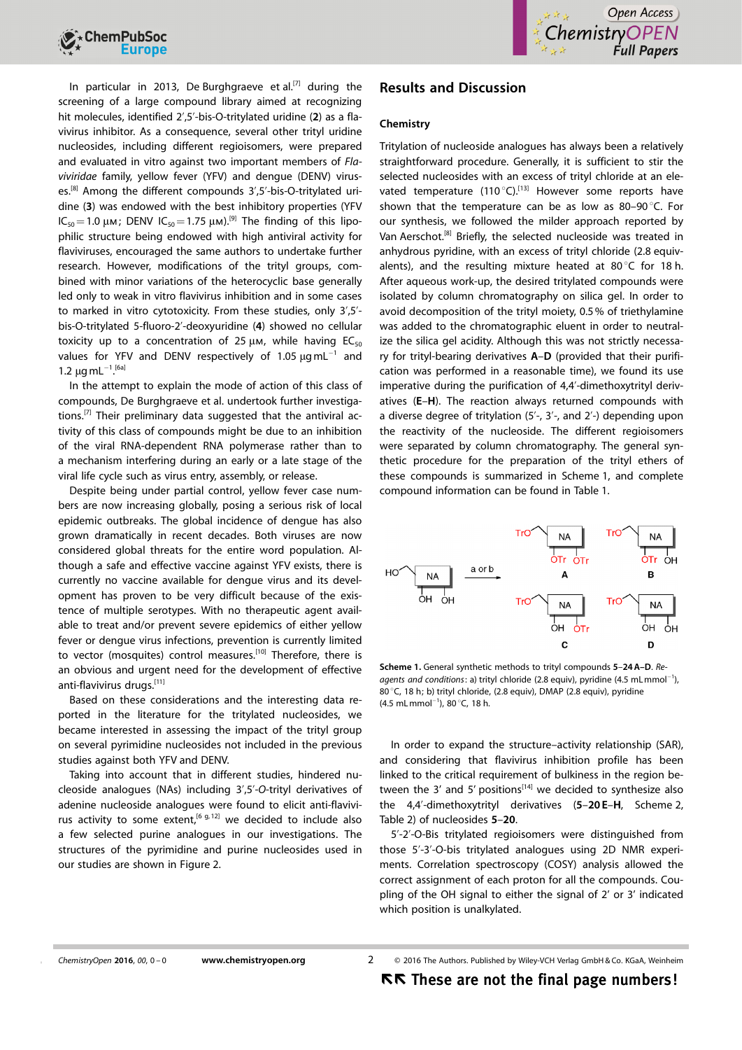

In particular in 2013, De Burghgraeve et al.<sup>[7]</sup> during the screening of a large compound library aimed at recognizing hit molecules, identified 2',5'-bis-O-tritylated uridine (2) as a flavivirus inhibitor. As a consequence, several other trityl uridine nucleosides, including different regioisomers, were prepared and evaluated in vitro against two important members of Flaviviridae family, yellow fever (YFV) and dengue (DENV) viruses.[8] Among the different compounds 3',5'-bis-O-tritylated uridine (3) was endowed with the best inhibitory properties (YFV  $IC_{50}=1.0 \mu \text{m}$ ; DENV  $IC_{50}=1.75 \mu \text{m}$ ).<sup>[9]</sup> The finding of this lipophilic structure being endowed with high antiviral activity for flaviviruses, encouraged the same authors to undertake further research. However, modifications of the trityl groups, combined with minor variations of the heterocyclic base generally led only to weak in vitro flavivirus inhibition and in some cases to marked in vitro cytotoxicity. From these studies, only 3',5' bis-O-tritylated 5-fluoro-2'-deoxyuridine (4) showed no cellular toxicity up to a concentration of 25  $\mu$ m, while having EC<sub>50</sub> values for YFV and DENV respectively of 1.05  $\mu$ gmL<sup>-1</sup> and 1.2  $\mu$ g mL<sup>-1 [6a]</sup>

In the attempt to explain the mode of action of this class of compounds, De Burghgraeve et al. undertook further investigations.<sup>[7]</sup> Their preliminary data suggested that the antiviral activity of this class of compounds might be due to an inhibition of the viral RNA-dependent RNA polymerase rather than to a mechanism interfering during an early or a late stage of the viral life cycle such as virus entry, assembly, or release.

Despite being under partial control, yellow fever case numbers are now increasing globally, posing a serious risk of local epidemic outbreaks. The global incidence of dengue has also grown dramatically in recent decades. Both viruses are now considered global threats for the entire word population. Although a safe and effective vaccine against YFV exists, there is currently no vaccine available for dengue virus and its development has proven to be very difficult because of the existence of multiple serotypes. With no therapeutic agent available to treat and/or prevent severe epidemics of either yellow fever or dengue virus infections, prevention is currently limited to vector (mosquites) control measures.<sup>[10]</sup> Therefore, there is an obvious and urgent need for the development of effective anti-flavivirus drugs.[11]

Based on these considerations and the interesting data reported in the literature for the tritylated nucleosides, we became interested in assessing the impact of the trityl group on several pyrimidine nucleosides not included in the previous studies against both YFV and DENV.

Taking into account that in different studies, hindered nucleoside analogues (NAs) including 3',5'-O-trityl derivatives of adenine nucleoside analogues were found to elicit anti-flavivirus activity to some extent,<sup>[6 g, 12]</sup> we decided to include also a few selected purine analogues in our investigations. The structures of the pyrimidine and purine nucleosides used in our studies are shown in Figure 2.

## Results and Discussion

#### Chemistry

Tritylation of nucleoside analogues has always been a relatively straightforward procedure. Generally, it is sufficient to stir the selected nucleosides with an excess of trityl chloride at an elevated temperature (110 $^{\circ}$ C).<sup>[13]</sup> However some reports have shown that the temperature can be as low as 80–90 $\degree$ C. For our synthesis, we followed the milder approach reported by Van Aerschot.<sup>[8]</sup> Briefly, the selected nucleoside was treated in anhydrous pyridine, with an excess of trityl chloride (2.8 equivalents), and the resulting mixture heated at 80 $^{\circ}$ C for 18 h. After aqueous work-up, the desired tritylated compounds were isolated by column chromatography on silica gel. In order to avoid decomposition of the trityl moiety, 0.5% of triethylamine was added to the chromatographic eluent in order to neutralize the silica gel acidity. Although this was not strictly necessary for trityl-bearing derivatives A–D (provided that their purification was performed in a reasonable time), we found its use imperative during the purification of 4,4'-dimethoxytrityl derivatives (E–H). The reaction always returned compounds with a diverse degree of tritylation (5'-, 3'-, and 2'-) depending upon the reactivity of the nucleoside. The different regioisomers were separated by column chromatography. The general synthetic procedure for the preparation of the trityl ethers of these compounds is summarized in Scheme 1, and complete compound information can be found in Table 1.



Scheme 1. General synthetic methods to trityl compounds 5–24A–D. Reagents and conditions: a) trityl chloride (2.8 equiv), pyridine (4.5 mLmmol<sup>-1</sup>), 80 °C, 18 h; b) trityl chloride, (2.8 equiv), DMAP (2.8 equiv), pyridine  $(4.5 \text{ mL mmol}^{-1})$ , 80 $^{\circ}$ C, 18 h.

In order to expand the structure–activity relationship (SAR), and considering that flavivirus inhibition profile has been linked to the critical requirement of bulkiness in the region between the 3' and 5' positions<sup>[14]</sup> we decided to synthesize also the 4,4'-dimethoxytrityl derivatives (5–20 E–H, Scheme 2, Table 2) of nucleosides 5–20.

5'-2'-O-Bis tritylated regioisomers were distinguished from those 5'-3'-O-bis tritylated analogues using 2D NMR experiments. Correlation spectroscopy (COSY) analysis allowed the correct assignment of each proton for all the compounds. Coupling of the OH signal to either the signal of 2' or 3' indicated which position is unalkylated.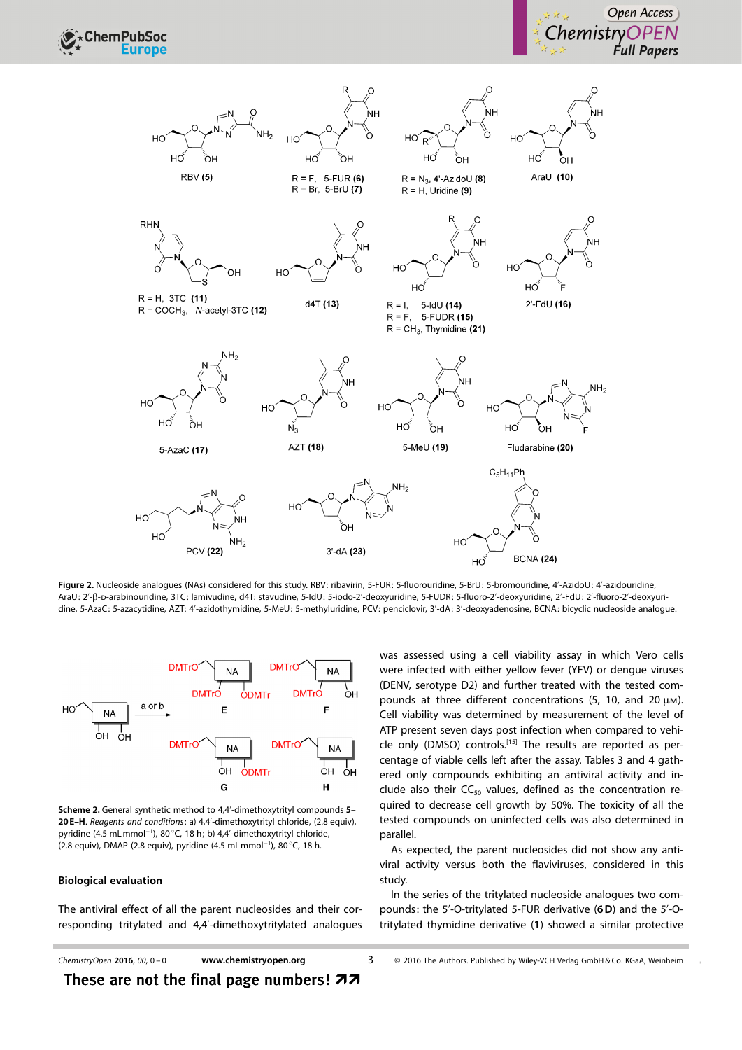



Figure 2. Nucleoside analogues (NAs) considered for this study. RBV: ribavirin, 5-FUR: 5-fluorouridine, 5-BrU: 5-bromouridine, 4'-AzidoU: 4'-azidouridine, AraU: 2'-ß-D-arabinouridine, 3TC: lamivudine, d4T: stavudine, 5-IdU: 5-iodo-2'-deoxyuridine, 5-FUDR: 5-fluoro-2'-deoxyuridine, 2'-FdU: 2'-fluoro-2'-deoxyuridine, 5-AzaC: 5-azacytidine, AZT: 4'-azidothymidine, 5-MeU: 5-methyluridine, PCV: penciclovir, 3'-dA: 3'-deoxyadenosine, BCNA: bicyclic nucleoside analogue.



Scheme 2. General synthetic method to 4,4'-dimethoxytrityl compounds 5– 20 E–H. Reagents and conditions: a) 4,4'-dimethoxytrityl chloride, (2.8 equiv), pyridine (4.5 mL mmol<sup>-1</sup>), 80 °C, 18 h; b) 4,4'-dimethoxytrityl chloride,  $(2.8 \text{ equiv})$ , DMAP  $(2.8 \text{ equiv})$ , pyridine  $(4.5 \text{ mL mmol}^{-1})$ , 80 °C, 18 h.

#### Biological evaluation

The antiviral effect of all the parent nucleosides and their corresponding tritylated and 4,4'-dimethoxytritylated analogues was assessed using a cell viability assay in which Vero cells were infected with either yellow fever (YFV) or dengue viruses (DENV, serotype D2) and further treated with the tested compounds at three different concentrations (5, 10, and 20  $\mu$ m). Cell viability was determined by measurement of the level of ATP present seven days post infection when compared to vehicle only (DMSO) controls.<sup>[15]</sup> The results are reported as percentage of viable cells left after the assay. Tables 3 and 4 gathered only compounds exhibiting an antiviral activity and include also their  $CC_{50}$  values, defined as the concentration required to decrease cell growth by 50%. The toxicity of all the tested compounds on uninfected cells was also determined in parallel.

As expected, the parent nucleosides did not show any antiviral activity versus both the flaviviruses, considered in this study.

In the series of the tritylated nucleoside analogues two compounds: the 5'-O-tritylated 5-FUR derivative (6D) and the 5'-Otritylated thymidine derivative (1) showed a similar protective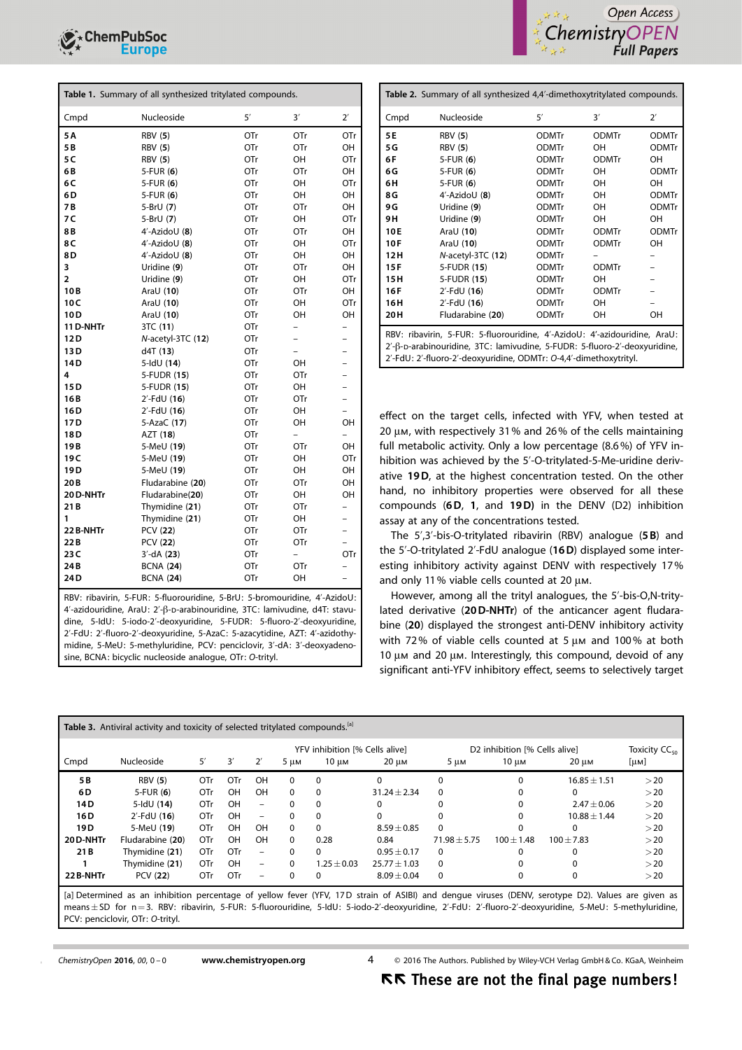

| Table 1. Summary of all synthesized tritylated compounds. |                    |     |                          |                          |  |  |  |  |
|-----------------------------------------------------------|--------------------|-----|--------------------------|--------------------------|--|--|--|--|
| Cmpd                                                      | Nucleoside         | 5'  | 3'                       | $2^{\prime}$             |  |  |  |  |
| 5 A                                                       | <b>RBV</b> (5)     | OTr | OTr                      | OTr                      |  |  |  |  |
| 5 B                                                       | <b>RBV</b> (5)     | OTr | OTr                      | OН                       |  |  |  |  |
| 5 C                                                       | <b>RBV</b> (5)     | OTr | OH                       | OTr                      |  |  |  |  |
| 6B                                                        | $5$ -FUR $(6)$     | OTr | OTr                      | OН                       |  |  |  |  |
| 6C                                                        | 5-FUR $(6)$        | OTr | OH                       | OTr                      |  |  |  |  |
| 6 D                                                       | $5$ -FUR $(6)$     | OTr | OH                       | OН                       |  |  |  |  |
| 7 B                                                       | 5-BrU (7)          | OTr | OTr                      | OН                       |  |  |  |  |
| 7 C                                                       | 5-BrU (7)          | OTr | OH                       | OTr                      |  |  |  |  |
| 8B                                                        | $4'$ -AzidoU $(8)$ | OTr | OTr                      | OН                       |  |  |  |  |
| 8C                                                        | 4'-AzidoU (8)      | OTr | OH                       | OTr                      |  |  |  |  |
| 8D                                                        | $4'$ -AzidoU $(8)$ | OTr | OH                       | OH                       |  |  |  |  |
| 3                                                         | Uridine (9)        | OTr | OTr                      | OН                       |  |  |  |  |
| 2                                                         | Uridine (9)        | OTr | OH                       | OTr                      |  |  |  |  |
| 10 <sub>B</sub>                                           | Ara $U(10)$        | OTr | OTr                      | OН                       |  |  |  |  |
| 10C                                                       | AraU (10)          | OTr | OH                       | OTr                      |  |  |  |  |
| 10 <sub>D</sub>                                           | Ara $U(10)$        | OTr | OH                       | OН                       |  |  |  |  |
| 11 D-NHTr                                                 | 3TC (11)           | OTr | $\overline{a}$           | $\overline{\phantom{0}}$ |  |  |  |  |
| 12D                                                       | N-acetyl-3TC (12)  | OTr | $\overline{\phantom{0}}$ | -                        |  |  |  |  |
| 13D                                                       | d4T (13)           | OTr |                          | $\overline{\phantom{0}}$ |  |  |  |  |
| 14D                                                       | $5$ -IdU $(14)$    | OTr | OН                       | $\overline{a}$           |  |  |  |  |
| 4                                                         | 5-FUDR (15)        | OTr | OTr                      | -                        |  |  |  |  |
| 15D                                                       | 5-FUDR (15)        | OTr | OH                       | $\overline{\phantom{0}}$ |  |  |  |  |
| 16 B                                                      | $2'$ -FdU (16)     | OTr | OTr                      | $\overline{a}$           |  |  |  |  |
| 16 D                                                      | $2'$ -FdU (16)     | OTr | OH                       |                          |  |  |  |  |
| 17 D                                                      | 5-AzaC (17)        | OTr | OH                       | OH                       |  |  |  |  |
| 18D                                                       | AZT (18)           | OTr | $\overline{\phantom{0}}$ | $\overline{\phantom{0}}$ |  |  |  |  |
| 19 B                                                      | 5-MeU (19)         | OTr | OTr                      | OН                       |  |  |  |  |
| 19 C                                                      | 5-MeU (19)         | OTr | OH                       | OTr                      |  |  |  |  |
| 19 <sub>D</sub>                                           | 5-MeU (19)         | OTr | OH                       | OH                       |  |  |  |  |
| 20 B                                                      | Fludarabine (20)   | OTr | OTr                      | OH                       |  |  |  |  |
| 20 D-NHTr                                                 | Fludarabine(20)    | OTr | OН                       | OH                       |  |  |  |  |
| 21 B                                                      | Thymidine (21)     | OTr | OTr                      | -                        |  |  |  |  |
| 1                                                         | Thymidine (21)     | OTr | OН                       | $\overline{a}$           |  |  |  |  |
| 22 B-NHTr                                                 | PCV (22)           | OTr | OTr                      | -                        |  |  |  |  |
| 22 B                                                      | PCV (22)           | OTr | OTr                      |                          |  |  |  |  |
| 23 C                                                      | $3'$ -dA $(23)$    | OTr | $\overline{a}$           | OTr                      |  |  |  |  |
| 24B                                                       | <b>BCNA (24)</b>   | OTr | OTr                      |                          |  |  |  |  |
| 24D                                                       | <b>BCNA (24)</b>   | OTr | OH                       | $\overline{\phantom{0}}$ |  |  |  |  |
|                                                           |                    |     |                          |                          |  |  |  |  |

RBV: ribavirin, 5-FUR: 5-fluorouridine, 5-BrU: 5-bromouridine, 4'-AzidoU: 4'-azidouridine, AraU: 2'-b-d-arabinouridine, 3TC: lamivudine, d4T: stavudine, 5-IdU: 5-iodo-2'-deoxyuridine, 5-FUDR: 5-fluoro-2'-deoxyuridine, 2'-FdU: 2'-fluoro-2'-deoxyuridine, 5-AzaC: 5-azacytidine, AZT: 4'-azidothymidine, 5-MeU: 5-methyluridine, PCV: penciclovir, 3'-dA: 3'-deoxyadenosine, BCNA: bicyclic nucleoside analogue, OTr: O-trityl.



| Table 2. Summary of all synthesized 4,4'-dimethoxytritylated compounds.                                                                                                                                                     |                        |              |              |              |  |  |  |  |
|-----------------------------------------------------------------------------------------------------------------------------------------------------------------------------------------------------------------------------|------------------------|--------------|--------------|--------------|--|--|--|--|
| Cmpd                                                                                                                                                                                                                        | Nucleoside             | 5'           | 3'           | $2^{\prime}$ |  |  |  |  |
| 5E                                                                                                                                                                                                                          | <b>RBV</b> (5)         | <b>ODMTr</b> | <b>ODMTr</b> | <b>ODMTr</b> |  |  |  |  |
| 5 G                                                                                                                                                                                                                         | <b>RBV</b> (5)         | <b>ODMTr</b> | OН           | <b>ODMTr</b> |  |  |  |  |
| 6F                                                                                                                                                                                                                          | $5$ -FUR $(6)$         | <b>ODMTr</b> | <b>ODMTr</b> | OН           |  |  |  |  |
| 6G                                                                                                                                                                                                                          | $5-FUR(6)$             | <b>ODMTr</b> | OH           | <b>ODMTr</b> |  |  |  |  |
| 6H                                                                                                                                                                                                                          | $5$ -FUR $(6)$         | <b>ODMTr</b> | OH           | OH           |  |  |  |  |
| 8G                                                                                                                                                                                                                          | $4'$ -AzidoU $(8)$     | <b>ODMTr</b> | OH           | <b>ODMTr</b> |  |  |  |  |
| 9 G                                                                                                                                                                                                                         | Uridine (9)            | <b>ODMTr</b> | OH           | <b>ODMTr</b> |  |  |  |  |
| 9H                                                                                                                                                                                                                          | Uridine (9)            | <b>ODMTr</b> | OН           | OH           |  |  |  |  |
| 10E                                                                                                                                                                                                                         | Ara $U(10)$            | <b>ODMTr</b> | <b>ODMTr</b> | <b>ODMTr</b> |  |  |  |  |
| 10F                                                                                                                                                                                                                         | Ara $U(10)$            | <b>ODMTr</b> | <b>ODMTr</b> | OH           |  |  |  |  |
| 12 H                                                                                                                                                                                                                        | $N$ -acetyl-3TC $(12)$ | <b>ODMTr</b> |              |              |  |  |  |  |
| 15F                                                                                                                                                                                                                         | 5-FUDR (15)            | <b>ODMTr</b> | <b>ODMTr</b> |              |  |  |  |  |
| 15H                                                                                                                                                                                                                         | 5-FUDR (15)            | <b>ODMTr</b> | OН           |              |  |  |  |  |
| 16F                                                                                                                                                                                                                         | $2'$ -FdU (16)         | <b>ODMTr</b> | <b>ODMTr</b> |              |  |  |  |  |
| 16H                                                                                                                                                                                                                         | $2'$ -FdU (16)         | <b>ODMTr</b> | OH           |              |  |  |  |  |
| 20 H                                                                                                                                                                                                                        | Fludarabine (20)       | <b>ODMTr</b> | OН           | OH           |  |  |  |  |
| RBV: ribavirin, 5-FUR: 5-fluorouridine, 4'-AzidoU: 4'-azidouridine, AraU:<br>2'-β-D-arabinouridine, 3TC: lamivudine, 5-FUDR: 5-fluoro-2'-deoxyuridine,<br>2'-FdU: 2'-fluoro-2'-deoxyuridine, ODMTr: O-4,4'-dimethoxytrityl. |                        |              |              |              |  |  |  |  |

effect on the target cells, infected with YFV, when tested at 20 μm, with respectively 31% and 26% of the cells maintaining full metabolic activity. Only a low percentage (8.6%) of YFV inhibition was achieved by the 5'-O-tritylated-5-Me-uridine derivative 19D, at the highest concentration tested. On the other hand, no inhibitory properties were observed for all these compounds (6D, 1, and 19D) in the DENV (D2) inhibition assay at any of the concentrations tested.

The 5',3'-bis-O-tritylated ribavirin (RBV) analogue (5 B) and the 5'-O-tritylated 2'-FdU analogue (16D) displayed some interesting inhibitory activity against DENV with respectively 17% and only 11% viable cells counted at 20  $\mu$ m.

However, among all the trityl analogues, the 5'-bis-O,N-tritylated derivative (20D-NHTr) of the anticancer agent fludarabine (20) displayed the strongest anti-DENV inhibitory activity with 72% of viable cells counted at 5  $\mu$ m and 100% at both 10  $\mu$ m and 20  $\mu$ m. Interestingly, this compound, devoid of any significant anti-YFV inhibitory effect, seems to selectively target

| Table 3. Antiviral activity and toxicity of selected tritylated compounds. <sup>[a]</sup>                                                         |                  |            |            |                          |                                |               |                  |                               |              |                  |                           |
|---------------------------------------------------------------------------------------------------------------------------------------------------|------------------|------------|------------|--------------------------|--------------------------------|---------------|------------------|-------------------------------|--------------|------------------|---------------------------|
|                                                                                                                                                   |                  |            |            |                          | YFV inhibition [% Cells alive] |               |                  | D2 inhibition [% Cells alive] |              |                  | Toxicity CC <sub>50</sub> |
| Cmpd                                                                                                                                              | Nucleoside       | 5'         | 3'         | $2^{\prime}$             | $5 \mu M$                      | 10 um         | 20 µm            | $5 \mu M$                     | $10 \mu$ M   | $20 \mu M$       | [µM]                      |
| 5B                                                                                                                                                | <b>RBV (5)</b>   | <b>OTr</b> | OTr        | OH                       | $\Omega$                       | $\Omega$      | 0                |                               | 0            | $16.85 \pm 1.51$ | >20                       |
| 6 D                                                                                                                                               | $5$ -FUR $(6)$   | OTr        | <b>OH</b>  | OH                       | $\Omega$                       | $\Omega$      | $31.24 \pm 2.34$ |                               |              |                  | >20                       |
| 14 D                                                                                                                                              | 5-IdU (14)       | OTr        | OH         | $\overline{\phantom{m}}$ | 0                              | $\Omega$      | 0                |                               |              | $2.47 \pm 0.06$  | >20                       |
| 16 D                                                                                                                                              | $2'$ -FdU (16)   | <b>OTr</b> | OH         | $\overline{\phantom{m}}$ | 0                              | $\Omega$      | $\Omega$         |                               |              | $10.88 \pm 1.44$ | >20                       |
| 19 D                                                                                                                                              | 5-MeU (19)       | OTr        | OH         | OH                       | 0                              | $\mathbf{0}$  | $8.59 \pm 0.85$  | $\Omega$                      | 0            | 0                | >20                       |
| 20 D-NHTr                                                                                                                                         | Fludarabine (20) | OTr        | OH         | OH                       | $\Omega$                       | 0.28          | 0.84             | $71.98 \pm 5.75$              | $100 + 1.48$ | $100 \pm 7.83$   | >20                       |
| 21 B                                                                                                                                              | Thymidine (21)   | OTr        | <b>OTr</b> | $\overline{\phantom{a}}$ | $\Omega$                       | $\Omega$      | $0.95 \pm 0.17$  | $\Omega$                      |              |                  | $>$ 20                    |
|                                                                                                                                                   | Thymidine (21)   | OTr        | OH         | $\overline{\phantom{a}}$ | $\Omega$                       | $1.25 + 0.03$ | $25.77 + 1.03$   | $\mathbf{0}$                  |              |                  | >20                       |
| 22 B-NHTr                                                                                                                                         | <b>PCV (22)</b>  | <b>OTr</b> | OTr        | $\overline{\phantom{0}}$ | 0                              | $\Omega$      | $8.09 \pm 0.04$  | $\Omega$                      | 0            |                  | $>$ 20                    |
| [a] Determined as an inhibition percentage of yellow fever (YFV, 17D strain of ASIBI) and dengue viruses (DENV, serotype D2). Values are given as |                  |            |            |                          |                                |               |                  |                               |              |                  |                           |

means ± SD for n = 3. RBV: ribavirin, 5-FUR: 5-fluorouridine, 5-IdU: 5-iodo-2'-deoxyuridine, 2'-FdU: 2'-fluoro-2'-deoxyuridine, 5-MeU: 5-methyluridine, PCV: penciclovir, OTr: O-trityl.

ChemistryOpen 2016, 00, 0-0 [www.chemistryopen.org](http://www.chemistryopen.org) 4

2016 The Authors. Published by Wiley-VCH Verlag GmbH & Co. KGaA, Weinheim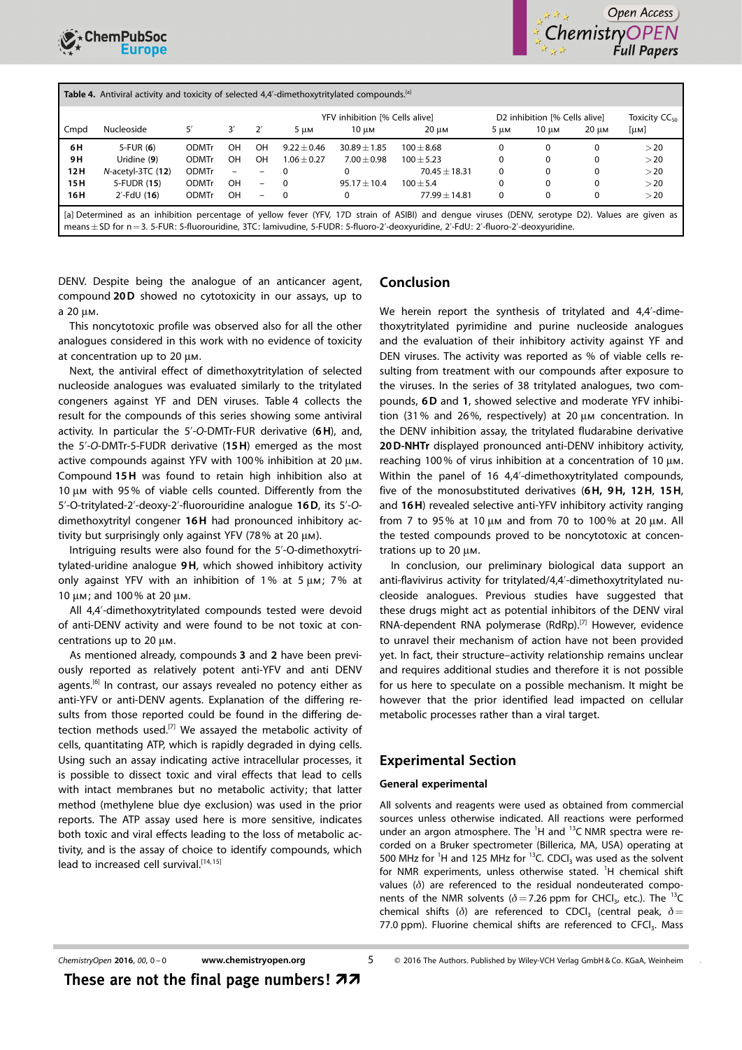



|                                                                                                                                                                                                                                                                                                 | Table 4. Antiviral activity and toxicity of selected 4,4'-dimethoxytritylated compounds. <sup>[a]</sup><br>D2 inhibition [% Cells alive]<br>YFV inhibition [% Cells alive] |              |           |                          |               |                |                 |      |          |       | Toxicity $CC_{50}$ |
|-------------------------------------------------------------------------------------------------------------------------------------------------------------------------------------------------------------------------------------------------------------------------------------------------|----------------------------------------------------------------------------------------------------------------------------------------------------------------------------|--------------|-----------|--------------------------|---------------|----------------|-----------------|------|----------|-------|--------------------|
| Cmpd                                                                                                                                                                                                                                                                                            | Nucleoside                                                                                                                                                                 | 5′           | 3'        | $2^{\prime}$             | 5 um          | 10 um          | 20 um           | 5 им | 10 um    | 20 um | [µM]               |
| 6H                                                                                                                                                                                                                                                                                              | $5$ -FUR $(6)$                                                                                                                                                             | <b>ODMTr</b> | OН        | OH                       | $9.22 + 0.46$ | $30.89 + 1.85$ | $100 + 8.68$    |      | $\Omega$ | 0     | >20                |
| 9 H                                                                                                                                                                                                                                                                                             | Uridine (9)                                                                                                                                                                | <b>ODMTr</b> | <b>OH</b> | OH                       | $1.06 + 0.27$ | $7.00 + 0.98$  | $100 + 5.23$    |      | $\Omega$ | 0     | >20                |
| 12 H                                                                                                                                                                                                                                                                                            | $N$ -acetyl-3TC $(12)$                                                                                                                                                     | <b>ODMTr</b> | $\equiv$  | -                        | $\Omega$      |                | $70.45 + 18.31$ | 0    | $\Omega$ | 0     | >20                |
| 15 H                                                                                                                                                                                                                                                                                            | 5-FUDR (15)                                                                                                                                                                | <b>ODMTr</b> | OH        | $\overline{\phantom{m}}$ | $\Omega$      | $95.17 + 10.4$ | $100 + 5.4$     |      | $\Omega$ | 0     | >20                |
| 16 H                                                                                                                                                                                                                                                                                            | $2'$ -FdU (16)                                                                                                                                                             | <b>ODMTr</b> | OH        | $\overline{\phantom{0}}$ | $\Omega$      |                | $77.99 + 14.81$ | 0    | $\Omega$ | 0     | >20                |
| [a] Determined as an inhibition percentage of yellow fever (YFV, 17D strain of ASIBI) and dengue viruses (DENV, serotype D2). Values are given as<br>means $\pm$ SD for $n = 3$ . 5-FUR: 5-fluorouridine, 3TC: lamivudine, 5-FUDR: 5-fluoro-2'-deoxyuridine, 2'-FdU: 2'-fluoro-2'-deoxyuridine. |                                                                                                                                                                            |              |           |                          |               |                |                 |      |          |       |                    |

DENV. Despite being the analogue of an anticancer agent, compound 20D showed no cytotoxicity in our assays, up to a  $20 \mu$ M.

This noncytotoxic profile was observed also for all the other analogues considered in this work with no evidence of toxicity at concentration up to 20  $\mu$ m.

Next, the antiviral effect of dimethoxytritylation of selected nucleoside analogues was evaluated similarly to the tritylated congeners against YF and DEN viruses. Table 4 collects the result for the compounds of this series showing some antiviral activity. In particular the 5'-O-DMTr-FUR derivative (6H), and, the 5'-O-DMTr-5-FUDR derivative (15H) emerged as the most active compounds against YFV with 100% inhibition at 20  $\mu$ m. Compound 15H was found to retain high inhibition also at 10  $\mu$ m with 95% of viable cells counted. Differently from the 5'-O-tritylated-2'-deoxy-2'-fluorouridine analogue 16D, its 5'-Odimethoxytrityl congener 16H had pronounced inhibitory activity but surprisingly only against YFV (78% at 20  $\mu$ m).

Intriguing results were also found for the 5'-O-dimethoxytritylated-uridine analogue 9H, which showed inhibitory activity only against YFV with an inhibition of 1% at 5  $\mu$ m; 7% at 10 µm; and 100% at 20 µm.

All 4,4'-dimethoxytritylated compounds tested were devoid of anti-DENV activity and were found to be not toxic at concentrations up to  $20 \mu$ M.

As mentioned already, compounds 3 and 2 have been previously reported as relatively potent anti-YFV and anti DENV agents.<sup>[6]</sup> In contrast, our assays revealed no potency either as anti-YFV or anti-DENV agents. Explanation of the differing results from those reported could be found in the differing detection methods used.<sup>[7]</sup> We assayed the metabolic activity of cells, quantitating ATP, which is rapidly degraded in dying cells. Using such an assay indicating active intracellular processes, it is possible to dissect toxic and viral effects that lead to cells with intact membranes but no metabolic activity; that latter method (methylene blue dye exclusion) was used in the prior reports. The ATP assay used here is more sensitive, indicates both toxic and viral effects leading to the loss of metabolic activity, and is the assay of choice to identify compounds, which lead to increased cell survival.<sup>[14,15]</sup>

### Conclusion

We herein report the synthesis of tritylated and 4,4'-dimethoxytritylated pyrimidine and purine nucleoside analogues and the evaluation of their inhibitory activity against YF and DEN viruses. The activity was reported as % of viable cells resulting from treatment with our compounds after exposure to the viruses. In the series of 38 tritylated analogues, two compounds, 6D and 1, showed selective and moderate YFV inhibition (31% and 26%, respectively) at 20  $\mu$ m concentration. In the DENV inhibition assay, the tritylated fludarabine derivative 20D-NHTr displayed pronounced anti-DENV inhibitory activity, reaching 100% of virus inhibition at a concentration of 10  $\mu$ m. Within the panel of 16 4,4'-dimethoxytritylated compounds, five of the monosubstituted derivatives (6H, 9H, 12H, 15H, and 16H) revealed selective anti-YFV inhibitory activity ranging from 7 to 95% at 10  $\mu$ m and from 70 to 100% at 20  $\mu$ m. All the tested compounds proved to be noncytotoxic at concentrations up to 20  $\mu$ m.

In conclusion, our preliminary biological data support an anti-flavivirus activity for tritylated/4,4'-dimethoxytritylated nucleoside analogues. Previous studies have suggested that these drugs might act as potential inhibitors of the DENV viral RNA-dependent RNA polymerase (RdRp).<sup>[7]</sup> However, evidence to unravel their mechanism of action have not been provided yet. In fact, their structure–activity relationship remains unclear and requires additional studies and therefore it is not possible for us here to speculate on a possible mechanism. It might be however that the prior identified lead impacted on cellular metabolic processes rather than a viral target.

### Experimental Section

#### General experimental

All solvents and reagents were used as obtained from commercial sources unless otherwise indicated. All reactions were performed under an argon atmosphere. The  ${}^{1}H$  and  ${}^{13}C$  NMR spectra were recorded on a Bruker spectrometer (Billerica, MA, USA) operating at 500 MHz for <sup>1</sup>H and 125 MHz for  $13$ C. CDCI<sub>3</sub> was used as the solvent for NMR experiments, unless otherwise stated. <sup>1</sup>H chemical shift values  $(\delta)$  are referenced to the residual nondeuterated components of the NMR solvents ( $\delta$  = 7.26 ppm for CHCl<sub>3</sub>, etc.). The <sup>13</sup>C chemical shifts ( $\delta$ ) are referenced to CDCl<sub>3</sub> (central peak,  $\delta$  = 77.0 ppm). Fluorine chemical shifts are referenced to CFC $I_3$ . Mass

## ChemistryOpen 2016, 00, 0-0 [www.chemistryopen.org](http://www.chemistryopen.org) 5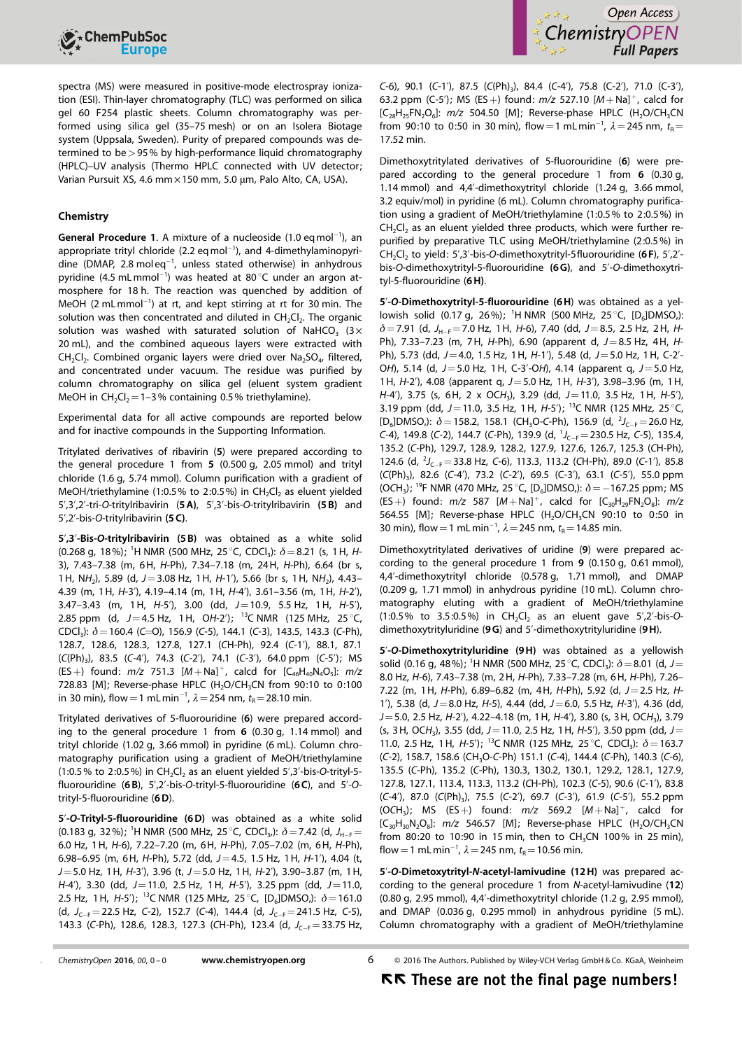



spectra (MS) were measured in positive-mode electrospray ionization (ESI). Thin-layer chromatography (TLC) was performed on silica gel 60 F254 plastic sheets. Column chromatography was performed using silica gel (35–75 mesh) or on an Isolera Biotage system (Uppsala, Sweden). Purity of prepared compounds was determined to be>95% by high-performance liquid chromatography (HPLC)–UV analysis (Thermo HPLC connected with UV detector; Varian Pursuit XS, 4.6 mm × 150 mm, 5.0 µm, Palo Alto, CA, USA).

#### Chemistry

General Procedure 1. A mixture of a nucleoside  $(1.0 \text{ eq mol}^{-1})$ , an appropriate trityl chloride (2.2 eq mol $^{-1}$ ), and 4-dimethylaminopyridine (DMAP, 2.8 moleq $^{-1}$ , unless stated otherwise) in anhydrous pyridine (4.5 mLmmol<sup>-1</sup>) was heated at 80 $^{\circ}$ C under an argon atmosphere for 18 h. The reaction was quenched by addition of MeOH (2 mLmmol<sup>-1</sup>) at rt, and kept stirring at rt for 30 min. The solution was then concentrated and diluted in  $CH_2Cl_2$ . The organic solution was washed with saturated solution of NaHCO<sub>3</sub> (3 $\times$ 20 mL), and the combined aqueous layers were extracted with CH<sub>2</sub>Cl<sub>2</sub>. Combined organic layers were dried over Na<sub>2</sub>SO<sub>4</sub>, filtered, and concentrated under vacuum. The residue was purified by column chromatography on silica gel (eluent system gradient MeOH in  $CH_2Cl_2$  = 1–3% containing 0.5% triethylamine).

Experimental data for all active compounds are reported below and for inactive compounds in the Supporting Information.

Tritylated derivatives of ribavirin (5) were prepared according to the general procedure 1 from 5 (0.500 g, 2.05 mmol) and trityl chloride (1.6 g, 5.74 mmol). Column purification with a gradient of MeOH/triethylamine (1:0.5% to 2:0.5%) in  $CH_2Cl_2$  as eluent yielded 5',3',2'-tri-O-tritylribavirin (5A), 5',3'-bis-O-tritylribavirin (5 B) and 5',2'-bis-O-tritylribavirin (5 C).

5',3'-Bis-O-tritylribavirin (5 B) was obtained as a white solid (0.268 g, 18%); <sup>1</sup>H NMR (500 MHz, 25 °C, CDCl<sub>3</sub>):  $\delta$  = 8.21 (s, 1H, H-3), 7.43–7.38 (m, 6H, H-Ph), 7.34–7.18 (m, 24H, H-Ph), 6.64 (br s, 1H, NH<sub>2</sub>), 5.89 (d,  $J=3.08$  Hz, 1H, H-1'), 5.66 (br s, 1H, NH<sub>2</sub>), 4.43– 4.39 (m, 1H, H-3'), 4.19–4.14 (m, 1H, H-4'), 3.61–3.56 (m, 1H, H-2'), 3.47–3.43 (m, 1H,  $H-5'$ ), 3.00 (dd,  $J=10.9$ , 5.5 Hz, 1H,  $H-5'$ ), 2.85 ppm (d,  $J=4.5$  Hz, 1H, OH-2'); <sup>13</sup>C NMR (125 MHz, 25 °C, CDCl<sub>3</sub>):  $\delta$  = 160.4 (C=O), 156.9 (C-5), 144.1 (C-3), 143.5, 143.3 (C-Ph), 128.7, 128.6, 128.3, 127.8, 127.1 (CH-Ph), 92.4 (C-1'), 88.1, 87.1  $(C(Ph)<sub>3</sub>)$ , 83.5  $(C-4')$ , 74.3  $(C-2')$ , 74.1  $(C-3')$ , 64.0 ppm  $(C-5')$ ; MS (ES+) found:  $m/z$  751.3  $[M+Na]^+$ , calcd for  $[C_{46}H_{40}N_4O_5]$ :  $m/z$ 728.83 [M]; Reverse-phase HPLC (H<sub>2</sub>O/CH<sub>3</sub>CN from 90:10 to 0:100 in 30 min), flow  $=$  1 mLmin $^{-1}$ ,  $\lambda$   $=$  254 nm,  $t_{\rm R}$   $=$  28.10 min.

Tritylated derivatives of 5-fluorouridine (6) were prepared according to the general procedure 1 from 6 (0.30 g, 1.14 mmol) and trityl chloride (1.02 g, 3.66 mmol) in pyridine (6 mL). Column chromatography purification using a gradient of MeOH/triethylamine (1:0.5% to 2:0.5%) in CH<sub>2</sub>Cl<sub>2</sub> as an eluent yielded 5',3'-bis-O-trityl-5fluorouridine  $(6B)$ , 5',2'-bis-O-trityl-5-fluorouridine  $(6C)$ , and 5'-Otrityl-5-fluorouridine (6D).

5'-O-Trityl-5-fluorouridine (6D) was obtained as a white solid (0.183 g, 32%); <sup>1</sup>H NMR (500 MHz, 25 °C, CDCl<sub>3</sub>,):  $\delta$  = 7.42 (d, J<sub>H-F</sub> = 6.0 Hz, 1H, H-6), 7.22–7.20 (m, 6H, H-Ph), 7.05–7.02 (m, 6H, H-Ph), 6.98–6.95 (m, 6H, H-Ph), 5.72 (dd,  $J=4.5$ , 1.5 Hz, 1H, H-1'), 4.04 (t,  $J=5.0$  Hz, 1H, H-3'), 3.96 (t,  $J=5.0$  Hz, 1H, H-2'), 3.90-3.87 (m, 1H,  $H-4'$ ), 3.30 (dd,  $J=11.0$ , 2.5 Hz, 1H,  $H-5'$ ), 3.25 ppm (dd,  $J=11.0$ , 2.5 Hz, 1 H,  $H$ -5'); <sup>13</sup>C NMR (125 MHz, 25 °C, [D<sub>6</sub>]DMSO,):  $\delta$  = 161.0 (d,  $J_{C-F} = 22.5$  Hz, C-2), 152.7 (C-4), 144.4 (d,  $J_{C-F} = 241.5$  Hz, C-5), 143.3 (C-Ph), 128.6, 128.3, 127.3 (CH-Ph), 123.4 (d,  $J_{C-F} = 33.75$  Hz,

C-6), 90.1 (C-1'), 87.5 (C(Ph)<sub>3</sub>), 84.4 (C-4'), 75.8 (C-2'), 71.0 (C-3'), 63.2 ppm (C-5'); MS (ES+) found:  $m/z$  527.10  $[M+Na]^+$ , calcd for  $[C_{28}H_{25}FN_{2}O_{6}]$ :  $m/Z$  504.50 [M]; Reverse-phase HPLC (H<sub>2</sub>O/CH<sub>3</sub>CN from 90:10 to 0:50 in 30 min), flow = 1 mL min<sup>-1</sup>,  $\lambda$  = 245 nm,  $t_{\rm R}$  = 17.52 min.

Dimethoxytritylated derivatives of 5-fluorouridine (6) were prepared according to the general procedure 1 from 6 (0.30 g, 1.14 mmol) and 4,4'-dimethoxytrityl chloride (1.24 g, 3.66 mmol, 3.2 equiv/mol) in pyridine (6 mL). Column chromatography purification using a gradient of MeOH/triethylamine (1:0.5% to 2:0.5%) in CH<sub>2</sub>Cl<sub>2</sub> as an eluent vielded three products, which were further repurified by preparative TLC using MeOH/triethylamine (2:0.5%) in CH<sub>2</sub>Cl<sub>2</sub> to yield: 5',3'-bis-O-dimethoxytrityl-5fluorouridine (6F), 5',2'bis-O-dimethoxytrityl-5-fluorouridine (6G), and 5'-O-dimethoxytrityl-5-fluorouridine (6H).

5'-O-Dimethoxytrityl-5-fluorouridine (6H) was obtained as a yellowish solid (0.17 g, 26%); <sup>1</sup>H NMR (500 MHz, 25 °C, [D<sub>6</sub>]DMSO,):  $\delta$  = 7.91 (d, J<sub>H-F</sub> = 7.0 Hz, 1H, H-6), 7.40 (dd, J = 8.5, 2.5 Hz, 2H, H-Ph), 7.33-7.23 (m, 7H, H-Ph), 6.90 (apparent d,  $J=8.5$  Hz, 4H, H-Ph), 5.73 (dd, J=4.0, 1.5 Hz, 1H, H-1'), 5.48 (d, J=5.0 Hz, 1H, C-2'- OH), 5.14 (d,  $J = 5.0$  Hz, 1H, C-3'-OH), 4.14 (apparent q,  $J = 5.0$  Hz, 1H,  $H-2'$ ), 4.08 (apparent q,  $J=5.0$  Hz, 1H,  $H-3'$ ), 3.98-3.96 (m, 1H,  $H-4'$ ), 3.75 (s, 6H, 2 x OCH<sub>3</sub>), 3.29 (dd, J = 11.0, 3.5 Hz, 1H, H-5'), 3.19 ppm (dd, J = 11.0, 3.5 Hz, 1H, H-5'); <sup>13</sup>C NMR (125 MHz, 25 °C, [D<sub>6</sub>]DMSO,):  $\delta = 158.2$ , 158.1 (CH<sub>3</sub>O-C-Ph), 156.9 (d, <sup>2</sup>J<sub>C-F</sub> = 26.0 Hz, C-4), 149.8 (C-2), 144.7 (C-Ph), 139.9 (d,  $J_{C-F} = 230.5$  Hz, C-5), 135.4, 135.2 (C-Ph), 129.7, 128.9, 128.2, 127.9, 127.6, 126.7, 125.3 (CH-Ph), 124.6 (d,  $\frac{2}{J_{C-F}}$  = 33.8 Hz, C-6), 113.3, 113.2 (CH-Ph), 89.0 (C-1'), 85.8  $(C(Ph)_3)$ , 82.6  $(C-4')$ , 73.2  $(C-2')$ , 69.5  $(C-3')$ , 63.1  $(C-5')$ , 55.0 ppm (OCH<sub>3</sub>); <sup>19</sup>F NMR (470 MHz, 25 °C, [D<sub>6</sub>]DMSO,):  $\delta$  = -167.25 ppm; MS (ES+) found:  $m/z$  587  $[M + Na]^{+}$ , calcd for  $[C_{30}H_{29}FN_{2}O_{8}]$ :  $m/z$ 564.55 [M]; Reverse-phase HPLC (H<sub>2</sub>O/CH<sub>3</sub>CN 90:10 to 0:50 in 30 min), flow = 1 mL min<sup>-1</sup>,  $\lambda$  = 245 nm,  $t_R$  = 14.85 min.

Dimethoxytritylated derivatives of uridine (9) were prepared according to the general procedure 1 from 9 (0.150 g, 0.61 mmol), 4,4'-dimethoxytrityl chloride (0.578 g, 1.71 mmol), and DMAP (0.209 g, 1.71 mmol) in anhydrous pyridine (10 mL). Column chromatography eluting with a gradient of MeOH/triethylamine  $(1:0.5\%$  to 3.5:0.5%) in CH<sub>2</sub>Cl<sub>2</sub> as an eluent gave 5',2'-bis-Odimethoxytrityluridine (9G) and 5'-dimethoxytrityluridine (9H).

5'-O-Dimethoxytrityluridine (9H) was obtained as a yellowish solid (0.16 g, 48%); <sup>1</sup>H NMR (500 MHz, 25 °C, CDCl<sub>3</sub>):  $\delta$  = 8.01 (d, J = 8.0 Hz, H-6), 7.43–7.38 (m, 2H, H-Ph), 7.33–7.28 (m, 6H, H-Ph), 7.26– 7.22 (m, 1H, H-Ph), 6.89-6.82 (m, 4H, H-Ph), 5.92 (d,  $J=2.5$  Hz, H-1'), 5.38 (d,  $J=8.0$  Hz,  $H=5$ ), 4.44 (dd,  $J=6.0$ , 5.5 Hz,  $H=3'$ ), 4.36 (dd,  $J=5.0$ , 2.5 Hz, H-2'), 4.22-4.18 (m, 1H, H-4'), 3.80 (s, 3H, OCH<sub>3</sub>), 3.79 (s, 3H, OCH<sub>3</sub>), 3.55 (dd, J = 11.0, 2.5 Hz, 1H, H-5'), 3.50 ppm (dd, J = 11.0, 2.5 Hz, 1H, H-5'); <sup>13</sup>C NMR (125 MHz, 25 °C, CDCl<sub>3</sub>):  $\delta$  = 163.7 (C-2), 158.7, 158.6 (CH<sub>3</sub>O-C-Ph) 151.1 (C-4), 144.4 (C-Ph), 140.3 (C-6), 135.5 (C-Ph), 135.2 (C-Ph), 130.3, 130.2, 130.1, 129.2, 128.1, 127.9, 127.8, 127.1, 113.4, 113.3, 113.2 (CH-Ph), 102.3 (C-5), 90.6 (C-1'), 83.8 (C-4'), 87.0 (C(Ph)<sub>3</sub>), 75.5 (C-2'), 69.7 (C-3'), 61.9 (C-5'), 55.2 ppm  $(OCH<sub>3</sub>)$ ; MS (ES+) found:  $m/z$  569.2  $[M+Na]<sup>+</sup>$ , calcd for  $[C_{30}H_{30}N_2O_8]$ :  $m/z$  546.57 [M]; Reverse-phase HPLC (H<sub>2</sub>O/CH<sub>3</sub>CN from 80:20 to 10:90 in 15 min, then to  $CH_3CN$  100% in 25 min), flow = 1 mL min<sup>-1</sup>,  $\lambda$  = 245 nm,  $t_R$  = 10.56 min.

5'-O-Dimetoxytrityl-N-acetyl-lamivudine (12H) was prepared according to the general procedure 1 from N-acetyl-lamivudine (12) (0.80 g, 2.95 mmol), 4,4'-dimethoxytrityl chloride (1.2 g, 2.95 mmol), and DMAP (0.036 g, 0.295 mmol) in anhydrous pyridine (5 mL). Column chromatography with a gradient of MeOH/triethylamine

ChemistryOpen 2016, 00, 0-0 [www.chemistryopen.org](http://www.chemistryopen.org) 6

2016 The Authors. Published by Wiley-VCH Verlag GmbH & Co. KGaA, Weinheim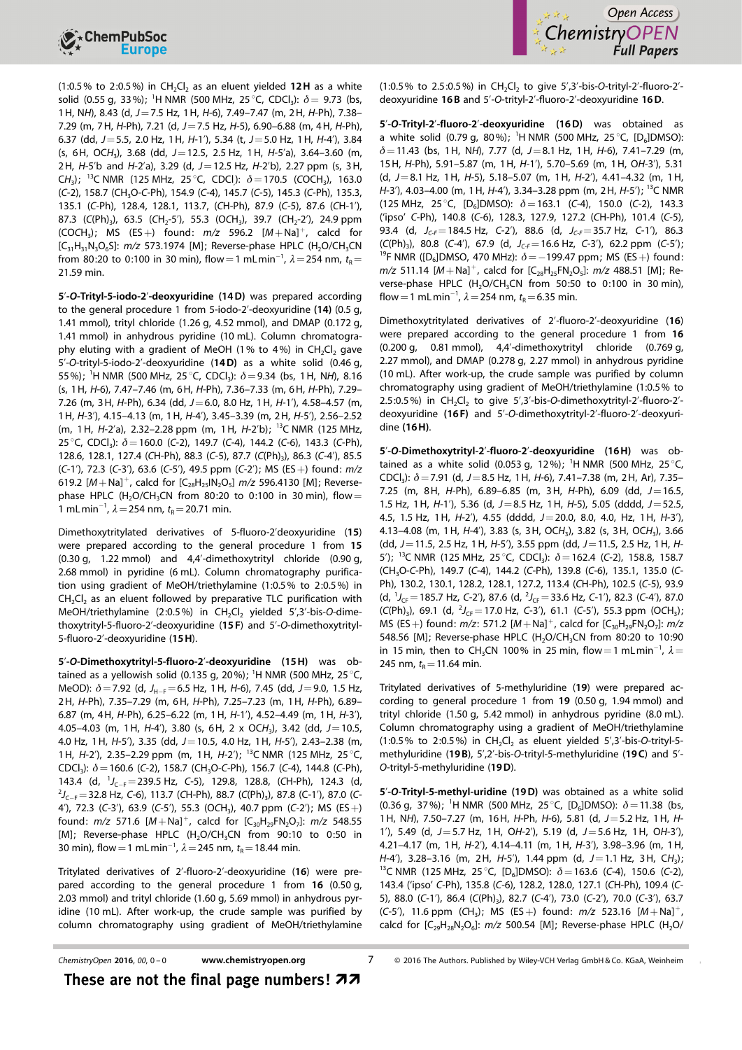



(1:0.5% to 2:0.5%) in CH<sub>2</sub>Cl<sub>2</sub> as an eluent yielded 12H as a white solid (0.55 g, 33%); <sup>1</sup>H NMR (500 MHz, 25 °C, CDCl<sub>3</sub>):  $\delta = 9.73$  (bs, 1H, NH), 8.43 (d, J=7.5 Hz, 1H, H-6), 7.49–7.47 (m, 2H, H-Ph), 7.38– 7.29 (m, 7H, H-Ph), 7.21 (d,  $J=7.5$  Hz, H-5), 6.90–6.88 (m, 4H, H-Ph), 6.37 (dd,  $J=5.5$ , 2.0 Hz, 1H,  $H-1'$ ), 5.34 (t,  $J=5.0$  Hz, 1H,  $H-4'$ ), 3.84  $(s, 6H, OCH<sub>3</sub>)$ , 3.68 (dd, J = 12.5, 2.5 Hz, 1H, H-5'a), 3.64-3.60 (m, 2H, H-5'b and H-2'a), 3.29 (d,  $J=12.5$  Hz, H-2'b), 2.27 ppm (s, 3H, CH<sub>3</sub>); <sup>13</sup>C NMR (125 MHz, 25 °C, CDCI):  $\delta = 170.5$  (COCH<sub>3</sub>), 163.0 (C-2), 158.7 (CH<sub>3</sub>O-C-Ph), 154.9 (C-4), 145.7 (C-5), 145.3 (C-Ph), 135.3, 135.1 (C-Ph), 128.4, 128.1, 113.7, (CH-Ph), 87.9 (C-5), 87.6 (CH-1'), 87.3 (C(Ph)<sub>3</sub>), 63.5 (CH<sub>2</sub>-5'), 55.3 (OCH<sub>3</sub>), 39.7 (CH<sub>2</sub>-2'), 24.9 ppm  $(COCH<sub>3</sub>)$ ; MS  $(ES +)$  found:  $m/z$  596.2  $[M + Na]$ <sup>+</sup>, calcd for  $[C_{31}H_{31}N_3O_6S]$ :  $m/z$  573.1974 [M]; Reverse-phase HPLC (H<sub>2</sub>O/CH<sub>3</sub>CN from 80:20 to 0:100 in 30 min), flow $=$  1 mLmin $^{-1}$ ,  $\lambda$   $=$  254 nm,  $t_{\sf R}$   $=$ 21.59 min.

5'-O-Trityl-5-iodo-2'-deoxyuridine (14D) was prepared according to the general procedure 1 from 5-iodo-2'-deoxyuridine (14) (0.5 g, 1.41 mmol), trityl chloride (1.26 g, 4.52 mmol), and DMAP (0.172 g, 1.41 mmol) in anhydrous pyridine (10 mL). Column chromatography eluting with a gradient of MeOH (1% to 4%) in CH<sub>2</sub>Cl<sub>2</sub> gave 5'-O-trityl-5-iodo-2'-deoxyuridine (14D) as a white solid (0.46 g, 55%); <sup>1</sup>H NMR (500 MHz, 25 °C, CDCl<sub>3</sub>):  $\delta = 9.34$  (bs, 1H, NH), 8.16 (s, 1H, H-6), 7.47–7.46 (m, 6H, H-Ph), 7.36–7.33 (m, 6H, H-Ph), 7.29– 7.26 (m, 3H, H-Ph), 6.34 (dd,  $J=6.0$ , 8.0 Hz, 1H, H-1'), 4.58-4.57 (m, 1H, H-3'), 4.15–4.13 (m, 1H, H-4'), 3.45–3.39 (m, 2H, H-5'), 2.56–2.52 (m, 1H, H-2'a), 2.32–2.28 ppm (m, 1H, H-2'b); 13C NMR (125 MHz, 25 °C, CDCl<sub>3</sub>):  $\delta$  = 160.0 (C-2), 149.7 (C-4), 144.2 (C-6), 143.3 (C-Ph), 128.6, 128.1, 127.4 (CH-Ph), 88.3 (C-5), 87.7 (C(Ph)<sub>3</sub>), 86.3 (C-4'), 85.5 (C-1'), 72.3 (C-3'), 63.6 (C-5'), 49.5 ppm (C-2'); MS (ES +) found:  $m/z$ 619.2  $[M+Na]^+$ , calcd for  $[C_{28}H_{25}IN_2O_5]$  m/z 596.4130 [M]; Reversephase HPLC (H<sub>2</sub>O/CH<sub>3</sub>CN from 80:20 to 0:100 in 30 min), flow = 1 mLmin<sup>-1</sup>,  $\lambda$  = 254 nm,  $t_R$  = 20.71 min.

Dimethoxytritylated derivatives of 5-fluoro-2'deoxyuridine (15) were prepared according to the general procedure 1 from 15 (0.30 g, 1.22 mmol) and 4,4'-dimethoxytrityl chloride (0.90 g, 2.68 mmol) in pyridine (6 mL). Column chromatography purification using gradient of MeOH/triethylamine (1:0.5% to 2:0.5%) in  $CH<sub>2</sub>Cl<sub>2</sub>$  as an eluent followed by preparative TLC purification with MeOH/triethylamine (2:0.5%) in CH<sub>2</sub>Cl<sub>2</sub> yielded 5',3'-bis-O-dimethoxytrityl-5-fluoro-2'-deoxyuridine (15 F) and 5'-O-dimethoxytrityl-5-fluoro-2'-deoxyuridine (15H).

5'-O-Dimethoxytrityl-5-fluoro-2'-deoxyuridine (15H) was obtained as a yellowish solid (0.135 g, 20%); <sup>1</sup>H NMR (500 MHz, 25 °C, MeOD):  $\delta$  = 7.92 (d, J<sub>H-F</sub> = 6.5 Hz, 1 H, H-6), 7.45 (dd, J = 9.0, 1.5 Hz, 2H, H-Ph), 7.35–7.29 (m, 6H, H-Ph), 7.25–7.23 (m, 1H, H-Ph), 6.89– 6.87 (m, 4H, H-Ph), 6.25–6.22 (m, 1H, H-1'), 4.52–4.49 (m, 1H, H-3'), 4.05–4.03 (m, 1H, H-4'), 3.80 (s, 6H, 2 x OCH<sub>3</sub>), 3.42 (dd, J = 10.5, 4.0 Hz, 1 H,  $H$ -5'), 3.35 (dd,  $J$  = 10.5, 4.0 Hz, 1 H,  $H$ -5'), 2.43–2.38 (m, 1H, H-2'), 2.35-2.29 ppm (m, 1H, H-2'); <sup>13</sup>C NMR (125 MHz, 25 °C, CDCl<sub>3</sub>):  $\delta$  = 160.6 (C-2), 158.7 (CH<sub>3</sub>O-C-Ph), 156.7 (C-4), 144.8 (C-Ph), 143.4 (d,  ${}^{1}J_{C-F}$  = 239.5 Hz, C-5), 129.8, 128.8, (CH-Ph), 124.3 (d,  $^{2}J_{C-F}$ =32.8 Hz, C-6), 113.7 (CH-Ph), 88.7 (C(Ph)<sub>3</sub>), 87.8 (C-1'), 87.0 (C-4'), 72.3 (C-3'), 63.9 (C-5'), 55.3 (OCH<sub>3</sub>), 40.7 ppm (C-2'); MS (ES +) found:  $m/z$  571.6  $[M + Na]$ <sup>+</sup>, calcd for  $[C_{30}H_{29}FN_2O_7]$ :  $m/z$  548.55 [M]; Reverse-phase HPLC  $(H<sub>2</sub>O/CH<sub>3</sub>CN$  from 90:10 to 0:50 in 30 min), flow = 1 mL min<sup>-1</sup>,  $\lambda$  = 245 nm,  $t_R$  = 18.44 min.

Tritylated derivatives of 2'-fluoro-2'-deoxyuridine (16) were prepared according to the general procedure 1 from 16 (0.50 g, 2.03 mmol) and trityl chloride (1.60 g, 5.69 mmol) in anhydrous pyridine (10 mL). After work-up, the crude sample was purified by column chromatography using gradient of MeOH/triethylamine (1:0.5% to 2.5:0.5%) in CH<sub>2</sub>Cl<sub>2</sub> to give 5',3'-bis-O-trityl-2'-fluoro-2'deoxyuridine 16 B and 5'-O-trityl-2'-fluoro-2'-deoxyuridine 16D.

5'-O-Trityl-2'-fluoro-2'-deoxyuridine (16D) was obtained as a white solid (0.79 g, 80%); <sup>1</sup>H NMR (500 MHz, 25 °C, [D<sub>6</sub>]DMSO):  $\delta$  = 11.43 (bs, 1H, NH), 7.77 (d, J = 8.1 Hz, 1H, H-6), 7.41–7.29 (m, 15H, H-Ph), 5.91–5.87 (m, 1H, H-1'), 5.70–5.69 (m, 1H, OH-3'), 5.31  $(d, J=8.1 \text{ Hz}, 1\text{ H}, H=5)$ , 5.18-5.07 (m, 1H,  $H=2'$ ), 4.41-4.32 (m, 1H, H-3'), 4.03-4.00 (m, 1H, H-4'), 3.34-3.28 ppm (m, 2H, H-5'); <sup>13</sup>C NMR (125 MHz, 25 °C, [D<sub>6</sub>]DMSO):  $\delta = 163.1$  (C-4), 150.0 (C-2), 143.3 ('ipso' C-Ph), 140.8 (C-6), 128.3, 127.9, 127.2 (CH-Ph), 101.4 (C-5), 93.4 (d,  $J_{C,F}$ =184.5 Hz, C-2'), 88.6 (d,  $J_{C,F}$ =35.7 Hz, C-1'), 86.3  $(C(Ph)_{3})$ , 80.8  $(C-4')$ , 67.9 (d,  $J_{C-F} = 16.6$  Hz,  $C-3'$ ), 62.2 ppm  $(C-5')$ ; <sup>19</sup>F NMR ([D<sub>6</sub>]DMSO, 470 MHz):  $\delta = -199.47$  ppm; MS (ES +) found:  $m/z$  511.14  $[M+Na]^+$ , calcd for  $[C_{28}H_{25}FN_2O_5]$ :  $m/z$  488.51 [M]; Reverse-phase HPLC  $(H<sub>2</sub>O/CH<sub>3</sub>CN$  from 50:50 to 0:100 in 30 min), flow = 1 mL min<sup>-1</sup>,  $\lambda$  = 254 nm,  $t_{\rm R}$  = 6.35 min.

Dimethoxytritylated derivatives of 2'-fluoro-2'-deoxyuridine (16) were prepared according to the general procedure 1 from 16 (0.200 g, 0.81 mmol), 4,4'-dimethoxytrityl chloride (0.769 g, 2.27 mmol), and DMAP (0.278 g, 2.27 mmol) in anhydrous pyridine (10 mL). After work-up, the crude sample was purified by column chromatography using gradient of MeOH/triethylamine (1:0.5% to 2.5:0.5%) in  $CH_2Cl_2$  to give 5',3'-bis-O-dimethoxytrityl-2'-fluoro-2'deoxyuridine (16 F) and 5'-O-dimethoxytrityl-2'-fluoro-2'-deoxyuridine (16H).

5'-O-Dimethoxytrityl-2'-fluoro-2'-deoxyuridine (16H) was obtained as a white solid (0.053 g, 12%); <sup>1</sup>H NMR (500 MHz, 25 °C, CDCl<sub>3</sub>):  $\delta$  = 7.91 (d, J = 8.5 Hz, 1H, H-6), 7.41–7.38 (m, 2H, Ar), 7.35– 7.25 (m, 8H, H-Ph), 6.89-6.85 (m, 3H, H-Ph), 6.09 (dd,  $J=16.5$ , 1.5 Hz, 1H, H-1'), 5.36 (d,  $J=8.5$  Hz, 1H, H-5), 5.05 (dddd,  $J=52.5$ , 4.5, 1.5 Hz, 1H,  $H-2'$ ), 4.55 (dddd, J = 20.0, 8.0, 4.0, Hz, 1H,  $H-3'$ ), 4.13–4.08 (m, 1H, H-4'), 3.83 (s, 3H, OCH<sub>3</sub>), 3.82 (s, 3H, OCH<sub>3</sub>), 3.66  $(dd, J=11.5, 2.5 Hz, 1H, H-5'$ , 3.55 ppm (dd,  $J=11.5, 2.5 Hz, 1H, H-$ 5'); <sup>13</sup>C NMR (125 MHz, 25 °C, CDCl<sub>3</sub>):  $\delta$  = 162.4 (C-2), 158.8, 158.7 (CH3O-C-Ph), 149.7 (C-4), 144.2 (C-Ph), 139.8 (C-6), 135.1, 135.0 (C-Ph), 130.2, 130.1, 128.2, 128.1, 127.2, 113.4 (CH-Ph), 102.5 (C-5), 93.9 (d,  $^1J_{CF}$  = 185.7 Hz, C-2'), 87.6 (d,  $^2J_{CF}$  = 33.6 Hz, C-1'), 82.3 (C-4'), 87.0  $(C(Ph)<sub>3</sub>)$ , 69.1 (d,  ${}^{2}J_{CF}$  = 17.0 Hz, C-3'), 61.1 (C-5'), 55.3 ppm (OCH<sub>3</sub>); MS (ES +) found:  $m/z$ : 571.2 [M + Na]<sup>+</sup>, calcd for [C<sub>30</sub>H<sub>29</sub>FN<sub>2</sub>O<sub>7</sub>]:  $m/z$ 548.56 [M]; Reverse-phase HPLC (H<sub>2</sub>O/CH<sub>3</sub>CN from 80:20 to 10:90 in 15 min, then to CH<sub>3</sub>CN 100% in 25 min, flow = 1 mLmin<sup>-1</sup>,  $\lambda$  = 245 nm,  $t_R$  = 11.64 min.

Tritylated derivatives of 5-methyluridine (19) were prepared according to general procedure 1 from 19 (0.50 g, 1.94 mmol) and trityl chloride (1.50 g, 5.42 mmol) in anhydrous pyridine (8.0 mL). Column chromatography using a gradient of MeOH/triethylamine (1:0.5% to 2:0.5%) in  $CH_2Cl_2$  as eluent yielded 5',3'-bis-O-trityl-5methyluridine (19 B), 5',2'-bis-O-trityl-5-methyluridine (19 C) and 5'- O-trityl-5-methyluridine (19D).

5'-O-Trityl-5-methyl-uridine (19D) was obtained as a white solid (0.36 g, 37%); <sup>1</sup>H NMR (500 MHz, 25 °C, [D<sub>6</sub>]DMSO):  $\delta$  = 11.38 (bs, 1H, NH), 7.50-7.27 (m, 16H, H-Ph, H-6), 5.81 (d, J=5.2 Hz, 1H, H-1'), 5.49 (d,  $J = 5.7$  Hz, 1H, OH-2'), 5.19 (d,  $J = 5.6$  Hz, 1H, OH-3'), 4.21–4.17 (m, 1H, H-2'), 4.14–4.11 (m, 1H, H-3'), 3.98–3.96 (m, 1H, H-4'), 3.28-3.16 (m, 2H, H-5'), 1.44 ppm (d,  $J=1.1$  Hz, 3H, CH<sub>3</sub>); <sup>13</sup>C NMR (125 MHz, 25<sup>°</sup>C, [D<sub>6</sub>]DMSO):  $\delta$  = 163.6 (C-4), 150.6 (C-2), 143.4 ('ipso' C-Ph), 135.8 (C-6), 128.2, 128.0, 127.1 (CH-Ph), 109.4 (C-5), 88.0 (C-1'), 86.4 (C(Ph)<sub>3</sub>), 82.7 (C-4'), 73.0 (C-2'), 70.0 (C-3'), 63.7 (C-5'), 11.6 ppm (CH<sub>3</sub>); MS (ES+) found:  $m/z$  523.16  $[M + Na]$ <sup>+</sup>, calcd for  $[C_{29}H_{28}N_2O_6]$ :  $m/z$  500.54 [M]; Reverse-phase HPLC (H<sub>2</sub>O/

ChemistryOpen 2016, 00, 0-0 [www.chemistryopen.org](http://www.chemistryopen.org) 7

These are not the final page numbers!  $\boldsymbol{z}$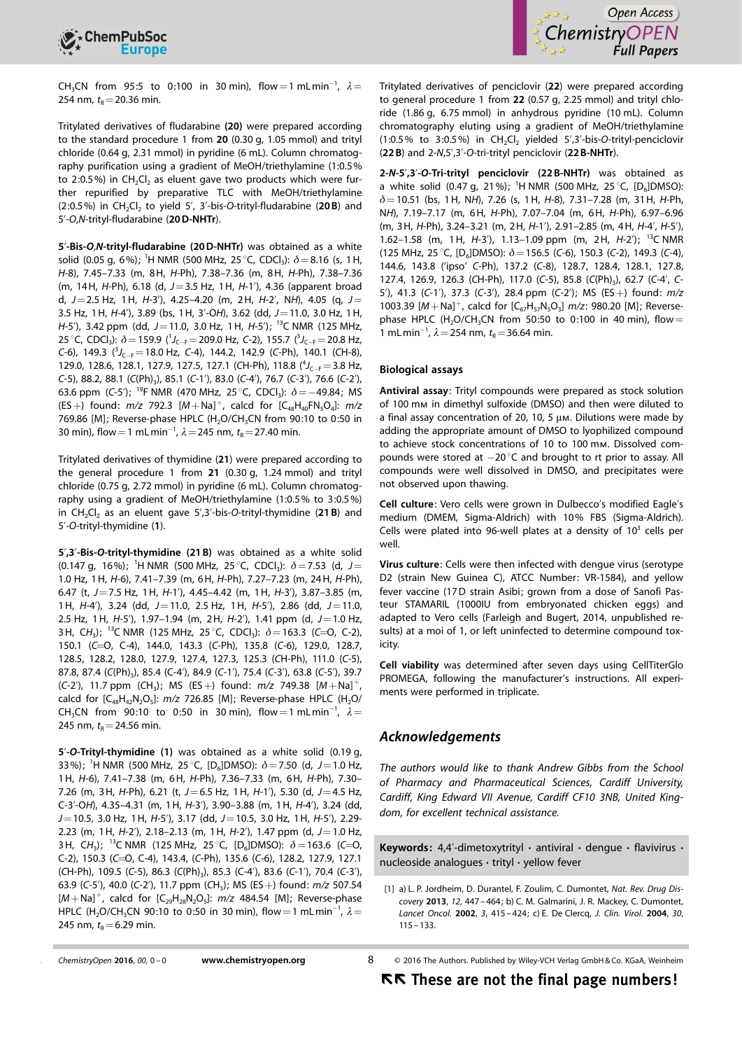



CH<sub>3</sub>CN from 95:5 to 0:100 in 30 min), flow = 1 mLmin<sup>-1</sup>,  $\lambda =$ 254 nm,  $t_{\rm R}$  = 20.36 min.

Tritylated derivatives of fludarabine (20) were prepared according to the standard procedure 1 from 20 (0.30 g, 1.05 mmol) and trityl chloride (0.64 g, 2.31 mmol) in pyridine (6 mL). Column chromatography purification using a gradient of MeOH/triethylamine (1:0.5% to 2:0.5%) in  $CH_2Cl_2$  as eluent gave two products which were further repurified by preparative TLC with MeOH/triethylamine (2:0.5%) in  $CH_2Cl_2$  to yield 5', 3'-bis-O-trityl-fludarabine (20B) and 5'-O,N-trityl-fludarabine (20D-NHTr).

5'-Bis-O,N-trityl-fludarabine (20D-NHTr) was obtained as a white solid (0.05 g, 6%); <sup>1</sup>H NMR (500 MHz, 25 °C, CDCl<sub>3</sub>):  $\delta$  = 8.16 (s, 1 H, H-8), 7.45–7.33 (m, 8H, H-Ph), 7.38–7.36 (m, 8H, H-Ph), 7.38–7.36 (m, 14H, H-Ph), 6.18 (d, J=3.5 Hz, 1H, H-1'), 4.36 (apparent broad d,  $J=2.5$  Hz, 1H, H-3'), 4.25-4.20 (m, 2H, H-2', NH), 4.05 (q,  $J=$ 3.5 Hz, 1H, H-4'), 3.89 (bs, 1H, 3'-OH), 3.62 (dd, J=11.0, 3.0 Hz, 1H, H-5'), 3.42 ppm (dd,  $J=11.0$ , 3.0 Hz, 1H,  $H$ -5'); <sup>13</sup>C NMR (125 MHz, 25 °C, CDCl<sub>3</sub>):  $\delta$  = 159.9 (<sup>1</sup>J<sub>C-F</sub> = 209.0 Hz, C-2), 155.7 (<sup>3</sup>J<sub>C-F</sub> = 20.8 Hz, C-6), 149.3  $({}^{3}J_{C-F}$  = 18.0 Hz, C-4), 144.2, 142.9 (C-Ph), 140.1 (CH-8), 129.0, 128.6, 128.1, 127.9, 127.5, 127.1 (CH-Ph), 118.8  $(^4J_{C-F} = 3.8$  Hz,  $C$ -5), 88.2, 88.1 ( $C(Ph)_{3}$ ), 85.1 ( $C$ -1'), 83.0 ( $C$ -4'), 76.7 ( $C$ -3'), 76.6 ( $C$ -2'), 63.6 ppm (C-5'); <sup>19</sup>F NMR (470 MHz, 25 °C, CDCl<sub>3</sub>):  $\delta$  = -49.84; MS (ES +) found:  $m/z$  792.3  $[M + Na]$ <sup>+</sup>, calcd for  $[C_{48}H_{40}FN_5O_4]$ :  $m/z$ 769.86 [M]; Reverse-phase HPLC (H<sub>2</sub>O/CH<sub>3</sub>CN from 90:10 to 0:50 in 30 min), flow = 1 mL min<sup>-1</sup>,  $\lambda$  = 245 nm,  $t_R$  = 27.40 min.

Tritylated derivatives of thymidine (21) were prepared according to the general procedure 1 from 21 (0.30 g, 1.24 mmol) and trityl chloride (0.75 g, 2.72 mmol) in pyridine (6 mL). Column chromatography using a gradient of MeOH/triethylamine (1:0.5% to 3:0.5%) in  $CH_2Cl_2$  as an eluent gave  $5'$ ,3'-bis-O-trityl-thymidine (21 B) and 5'-O-trityl-thymidine (1).

5',3'-Bis-O-trityl-thymidine (21 B) was obtained as a white solid (0.147 g, 16%); <sup>1</sup>H NMR (500 MHz, 25 °C, CDCl<sub>3</sub>):  $\delta$  = 7.53 (d, J = 1.0 Hz, 1H, H-6), 7.41–7.39 (m, 6H, H-Ph), 7.27–7.23 (m, 24H, H-Ph), 6.47 (t,  $J=7.5$  Hz, 1H,  $H=1'$ ), 4.45-4.42 (m, 1H,  $H=3'$ ), 3.87-3.85 (m, 1H,  $H-4'$ ), 3.24 (dd,  $J=11.0$ , 2.5 Hz, 1H,  $H-5'$ ), 2.86 (dd,  $J=11.0$ , 2.5 Hz, 1 H, H-5'), 1.97-1.94 (m, 2 H, H-2'), 1.41 ppm (d,  $J=1.0$  Hz, 3H, CH<sub>3</sub>); <sup>13</sup>C NMR (125 MHz, 25 °C, CDCl<sub>3</sub>):  $\delta$  = 163.3 (C=O, C-2), 150.1 (C=O, C-4), 144.0, 143.3 (C-Ph), 135.8 (C-6), 129.0, 128.7, 128.5, 128.2, 128.0, 127.9, 127.4, 127.3, 125.3 (CH-Ph), 111.0 (C-5), 87.8, 87.4 (C(Ph)<sub>3</sub>), 85.4 (C-4'), 84.9 (C-1'), 75.4 (C-3'), 63.8 (C-5'), 39.7 (C-2'), 11.7 ppm (CH<sub>3</sub>); MS (ES+) found:  $m/z$  749.38  $[M+Na]^{+}$ , calcd for  $[C_{48}H_{42}N_2O_5]$ :  $m/z$  726.85 [M]; Reverse-phase HPLC (H<sub>2</sub>O/ CH<sub>3</sub>CN from 90:10 to 0:50 in 30 min), flow = 1 mLmin<sup>-1</sup>,  $\lambda =$ 245 nm,  $t_R$  = 24.56 min.

5'-O-Trityl-thymidine (1) was obtained as a white solid (0.19 g, 33%); <sup>1</sup>H NMR (500 MHz, 25 °C, [D<sub>6</sub>]DMSO):  $\delta$  = 7.50 (d, J = 1.0 Hz, 1H, H-6), 7.41–7.38 (m, 6H, H-Ph), 7.36–7.33 (m, 6H, H-Ph), 7.30– 7.26 (m, 3H, H-Ph), 6.21 (t,  $J=6.5$  Hz, 1H, H-1'), 5.30 (d,  $J=4.5$  Hz, C-3'-OH), 4.35–4.31 (m, 1H, H-3'), 3.90–3.88 (m, 1H, H-4'), 3.24 (dd,  $J=10.5$ , 3.0 Hz, 1H, H-5'), 3.17 (dd,  $J=10.5$ , 3.0 Hz, 1H, H-5'), 2.29-2.23 (m, 1H,  $H-2'$ ), 2.18-2.13 (m, 1H,  $H-2'$ ), 1.47 ppm (d,  $J=1.0$  Hz, 3H, CH<sub>3</sub>); <sup>13</sup>C NMR (125 MHz, 25 °C, [D<sub>6</sub>]DMSO):  $\delta = 163.6$  (C=O, C-2), 150.3 (C=O, C-4), 143.4, (C-Ph), 135.6 (C-6), 128.2, 127.9, 127.1 (CH-Ph), 109.5 (C-5), 86.3 (C(Ph)<sub>3</sub>), 85.3 (C-4'), 83.6 (C-1'), 70.4 (C-3'), 63.9 (C-5'), 40.0 (C-2'), 11.7 ppm (CH<sub>3</sub>); MS (ES +) found:  $m/z$  507.54  $[M+Na]^+$ , calcd for  $[C_{29}H_{28}N_2O_5]$ :  $m/z$  484.54 [M]; Reverse-phase HPLC (H<sub>2</sub>O/CH<sub>3</sub>CN 90:10 to 0:50 in 30 min), flow = 1 mL min<sup>-1</sup>,  $\lambda$  = 245 nm,  $t_{\rm R}$  = 6.29 min.

Tritylated derivatives of penciclovir (22) were prepared according to general procedure 1 from 22 (0.57 g, 2.25 mmol) and trityl chloride (1.86 g, 6.75 mmol) in anhydrous pyridine (10 mL). Column chromatography eluting using a gradient of MeOH/triethylamine (1:0.5% to 3:0.5%) in  $CH_2Cl_2$  yielded 5',3'-bis-O-trityl-penciclovir (22 B) and 2-N,5',3'-O-tri-trityl penciclovir (22 B-NHTr).

2-N-5',3'-O-Tri-trityl penciclovir (22 B-NHTr) was obtained as a white solid (0.47 g, 21%); <sup>1</sup>H NMR (500 MHz, 25 °C, [D<sub>6</sub>]DMSO):  $\delta$  = 10.51 (bs, 1H, NH), 7.26 (s, 1H, H-8), 7.31-7.28 (m, 31H, H-Ph, NH), 7.19–7.17 (m, 6H, H-Ph), 7.07–7.04 (m, 6H, H-Ph), 6.97–6.96 (m, 3H, H-Ph), 3.24–3.21 (m, 2H, H-1'), 2.91–2.85 (m, 4H, H-4', H-5'), 1.62–1.58 (m, 1H, H-3'), 1.13–1.09 ppm (m, 2H, H-2'); <sup>13</sup>C NMR (125 MHz, 25 °C, [D<sub>6</sub>]DMSO):  $\delta$  = 156.5 (C-6), 150.3 (C-2), 149.3 (C-4), 144.6, 143.8 ('ipso' C-Ph), 137.2 (C-8), 128.7, 128.4, 128.1, 127.8, 127.4, 126.9, 126.3 (CH-Ph), 117.0 (C-5), 85.8 (C(Ph)<sub>3</sub>), 62.7 (C-4', C-5'), 41.3 (C-1'), 37.3 (C-3'), 28.4 ppm (C-2'); MS (ES+) found:  $m/z$ 1003.39  $[M+Na]^+$ , calcd for  $[C_{67}H_{57}N_5O_3]$  m/z: 980.20 [M]; Reversephase HPLC (H<sub>2</sub>O/CH<sub>3</sub>CN from 50:50 to 0:100 in 40 min), flow = 1 mLmin<sup>-1</sup>,  $\lambda = 254$  nm,  $t_R = 36.64$  min.

#### Biological assays

Antiviral assay: Trityl compounds were prepared as stock solution of 100 mm in dimethyl sulfoxide (DMSO) and then were diluted to a final assay concentration of 20, 10, 5  $\mu$ m. Dilutions were made by adding the appropriate amount of DMSO to lyophilized compound to achieve stock concentrations of 10 to 100 mm. Dissolved compounds were stored at  $-20\degree C$  and brought to rt prior to assay. All compounds were well dissolved in DMSO, and precipitates were not observed upon thawing.

Cell culture: Vero cells were grown in Dulbecco's modified Eagle's medium (DMEM, Sigma-Aldrich) with 10% FBS (Sigma-Aldrich). Cells were plated into 96-well plates at a density of  $10<sup>3</sup>$  cells per well.

Virus culture: Cells were then infected with dengue virus (serotype D2 (strain New Guinea C), ATCC Number: VR-1584), and yellow fever vaccine (17D strain Asibi; grown from a dose of Sanofi Pasteur STAMARIL (1000IU from embryonated chicken eggs) and adapted to Vero cells (Farleigh and Bugert, 2014, unpublished results) at a moi of 1, or left uninfected to determine compound toxicity.

Cell viability was determined after seven days using CellTiterGlo PROMEGA, following the manufacturer's instructions. All experiments were performed in triplicate.

### Acknowledgements

The authors would like to thank Andrew Gibbs from the School of Pharmacy and Pharmaceutical Sciences, Cardiff University, Cardiff, King Edward VII Avenue, Cardiff CF10 3NB, United Kingdom, for excellent technical assistance.

Keywords: 4,4'-dimetoxytrityl  $\cdot$  antiviral  $\cdot$  dengue  $\cdot$  flavivirus  $\cdot$ nucleoside analogues · trityl · yellow fever

```
www.chemistryopen.org 8
```
2016 The Authors. Published by Wiley-VCH Verlag GmbH & Co. KGaA, Weinheim

<sup>[1]</sup> a) L. P. Jordheim, D. Durantel, F. Zoulim, C. Dumontet, [Nat. Rev. Drug Dis](http://dx.doi.org/10.1038/nrd4010)[covery](http://dx.doi.org/10.1038/nrd4010) 2013, 12[, 447 – 464](http://dx.doi.org/10.1038/nrd4010); b) C. M. Galmarini, J. R. Mackey, C. Dumontet, [Lancet Oncol.](http://dx.doi.org/10.1016/S1470-2045(02)00788-X) 2002, 3, 415 – 424; c) E. De Clercq, [J. Clin. Virol.](http://dx.doi.org/10.1016/j.jcv.2004.02.009) 2004, 30, [115 – 133](http://dx.doi.org/10.1016/j.jcv.2004.02.009).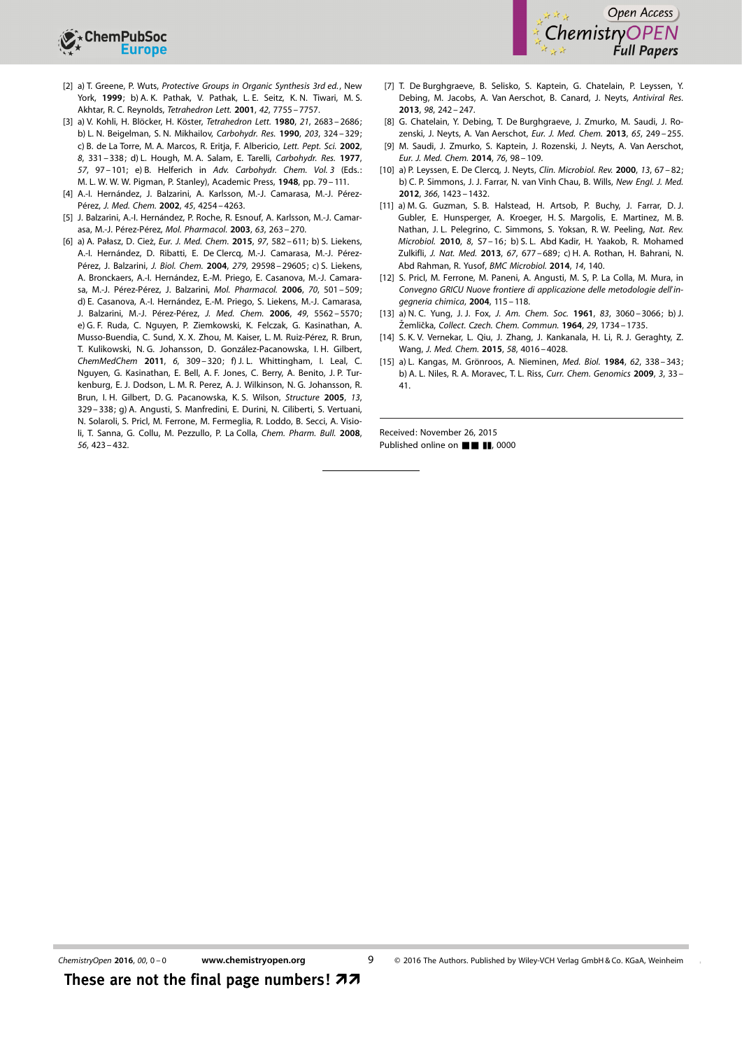

- [2] a) T. Greene, P. Wuts, Protective Groups in Organic Synthesis 3rd ed., New York, 1999; b) A. K. Pathak, V. Pathak, L. E. Seitz, K. N. Tiwari, M. S. Akhtar, R. C. Reynolds, [Tetrahedron Lett.](http://dx.doi.org/10.1016/S0040-4039(01)01645-8) 2001, 42, 7755 – 7757.
- [3] a) V. Kohli, H. Blöcker, H. Köster, [Tetrahedron Lett.](http://dx.doi.org/10.1016/S0040-4039(00)78579-0) 1980, 21, 2683-2686; b) L. N. Beigelman, S. N. Mikhailov, [Carbohydr. Res.](http://dx.doi.org/10.1016/0008-6215(90)80033-Y) 1990, 203, 324 – 329; c) B. de La Torre, M. A. Marcos, R. Eritja, F. Albericio, Lett. Pept. Sci. 2002, 8, 331 – 338; d) L. Hough, M. A. Salam, E. Tarelli, [Carbohydr. Res.](http://dx.doi.org/10.1016/S0008-6215(00)81923-0) 1977, 57, 97-101; e) B. Helferich in Adv. Carbohydr. Chem. Vol. 3 (Eds.: M. L. W. W. W. Pigman, P. Stanley), Academic Press, 1948, pp. 79 – 111.
- [4] A.-I. Hernández, J. Balzarini, A. Karlsson, M.-J. Camarasa, M.-J. Pérez-Pérez, [J. Med. Chem.](http://dx.doi.org/10.1021/jm011128+) 2002, 45, 4254-4263.
- [5] J. Balzarini, A.-J. Hernández, P. Roche, R. Esnouf, A. Karlsson, M.-J. Camar-asa, M.-J. Pérez-Pérez, [Mol. Pharmacol.](http://dx.doi.org/10.1124/mol.63.2.263) 2003, 63, 263-270.
- [6] a) A. Pałasz, D. Cież, Eur. J. Med. Chem. 2015, 97, 582-611; b) S. Liekens, A.-I. Hernández, D. Ribatti, E. De Clercq, M.-J. Camarasa, M.-J. Pérez-Pérez, J. Balzarini, [J. Biol. Chem.](http://dx.doi.org/10.1074/jbc.M402602200) 2004, 279, 29598-29605; c) S. Liekens, A. Bronckaers, A.-I. Hernández, E.-M. Priego, E. Casanova, M.-J. Camara-sa, M.-J. Pérez-Pérez, J. Balzarini, [Mol. Pharmacol.](http://dx.doi.org/10.1124/mol.105.021188) 2006, 70, 501-509; d) E. Casanova, A.-I. Hernández, E.-M. Priego, S. Liekens, M.-J. Camarasa, J. Balzarini, M.-J. Pérez-Pérez, [J. Med. Chem.](http://dx.doi.org/10.1021/jm0605379) 2006, 49, 5562-5570; e) G. F. Ruda, C. Nguyen, P. Ziemkowski, K. Felczak, G. Kasinathan, A. Musso-Buendia, C. Sund, X. X. Zhou, M. Kaiser, L. M. Ruiz-Pérez, R. Brun, T. Kulikowski, N. G. Johansson, D. González-Pacanowska, I. H. Gilbert, [ChemMedChem](http://dx.doi.org/10.1002/cmdc.201000445) 2011, 6, 309 – 320; f) J. L. Whittingham, I. Leal, C. Nguyen, G. Kasinathan, E. Bell, A. F. Jones, C. Berry, A. Benito, J. P. Turkenburg, E. J. Dodson, L. M. R. Perez, A. J. Wilkinson, N. G. Johansson, R. Brun, I. H. Gilbert, D. G. Pacanowska, K. S. Wilson, [Structure](http://dx.doi.org/10.1016/j.str.2004.11.015) 2005, 13, [329 – 338](http://dx.doi.org/10.1016/j.str.2004.11.015); g) A. Angusti, S. Manfredini, E. Durini, N. Ciliberti, S. Vertuani, N. Solaroli, S. Pricl, M. Ferrone, M. Fermeglia, R. Loddo, B. Secci, A. Visioli, T. Sanna, G. Collu, M. Pezzullo, P. La Colla, [Chem. Pharm. Bull.](http://dx.doi.org/10.1248/cpb.56.423) 2008, 56[, 423 – 432.](http://dx.doi.org/10.1248/cpb.56.423)
- [7] T. De Burghgraeve, B. Selisko, S. Kaptein, G. Chatelain, P. Leyssen, Y. Debing, M. Jacobs, A. Van Aerschot, B. Canard, J. Neyts, [Antiviral Res.](http://dx.doi.org/10.1016/j.antiviral.2013.01.011) 2013, 98[, 242 – 247.](http://dx.doi.org/10.1016/j.antiviral.2013.01.011)
- [8] G. Chatelain, Y. Debing, T. De Burghgraeve, J. Zmurko, M. Saudi, J. Rozenski, J. Neyts, A. Van Aerschot, [Eur. J. Med. Chem.](http://dx.doi.org/10.1016/j.ejmech.2013.04.034) 2013, 65, 249 – 255.
- [9] M. Saudi, J. Zmurko, S. Kaptein, J. Rozenski, J. Neyts, A. Van Aerschot, [Eur. J. Med. Chem.](http://dx.doi.org/10.1016/j.ejmech.2014.02.011) 2014, 76, 98 – 109.
- [10] a) P. Leyssen, E. De Clercq, J. Neyts, [Clin. Microbiol. Rev.](http://dx.doi.org/10.1128/CMR.13.1.67-82.2000) 2000, 13, 67-82; b) C. P. Simmons, J. J. Farrar, N. van Vinh Chau, B. Wills, [New Engl. J. Med.](http://dx.doi.org/10.1056/NEJMra1110265) 2012, 366[, 1423 – 1432](http://dx.doi.org/10.1056/NEJMra1110265).
- [11] a) M. G. Guzman, S. B. Halstead, H. Artsob, P. Buchy, J. Farrar, D. J. Gubler, E. Hunsperger, A. Kroeger, H. S. Margolis, E. Martinez, M. B. Nathan, J. L. Pelegrino, C. Simmons, S. Yoksan, R. W. Peeling, [Nat. Rev.](http://dx.doi.org/10.1038/nrmicro2460) [Microbiol.](http://dx.doi.org/10.1038/nrmicro2460) 2010, 8, S7 – 16; b) S. L. Abd Kadir, H. Yaakob, R. Mohamed Zulkifli, [J. Nat. Med.](http://dx.doi.org/10.1007/s11418-013-0767-y) 2013, 67, 677 – 689; c) H. A. Rothan, H. Bahrani, N. Abd Rahman, R. Yusof, [BMC Microbiol.](http://dx.doi.org/10.1186/1471-2180-14-140) 2014, 14, 140.
- [12] S. Pricl, M. Ferrone, M. Paneni, A. Angusti, M. S, P. La Colla, M. Mura, in Convegno GRICU Nuove frontiere di applicazione delle metodologie dell'ingegneria chimica, 2004, 115 – 118.
- [13] a) N. C. Yung, J. J. Fox, [J. Am. Chem. Soc.](http://dx.doi.org/10.1021/ja01475a022) 1961, 83, 3060-3066; b) J. Žemlička, Collect. Czech. Chem. Commun. 1964, 29, 1734 - 1735.
- [14] S. K. V. Vernekar, L. Qiu, J. Zhang, J. Kankanala, H. Li, R. J. Geraghty, Z. Wang, [J. Med. Chem.](http://dx.doi.org/10.1021/acs.jmedchem.5b00327) 2015, 58, 4016-4028.
- [15] a) L. Kangas, M. Grönroos, A. Nieminen, Med. Biol. 1984, 62, 338-343; b) A. L. Niles, R. A. Moravec, T. L. Riss, Curr. Chem. Genomics 2009, 3, 33-41.

Received: November 26, 2015 Published online on  $\blacksquare$   $\blacksquare$ , 0000